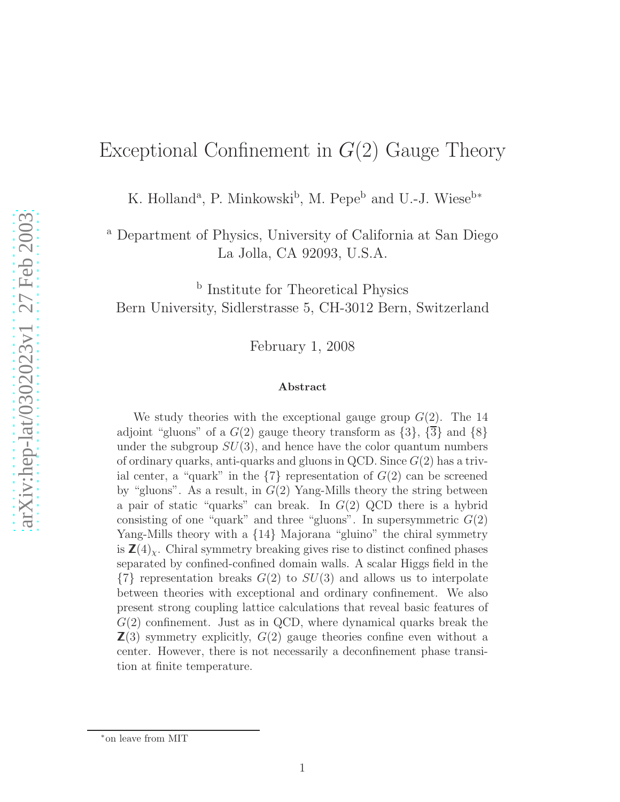# Exceptional Confinement in  $G(2)$  Gauge Theory

K. Holland<sup>a</sup>, P. Minkowski<sup>b</sup>, M. Pepe<sup>b</sup> and U.-J. Wiese<sup>b\*</sup>

<sup>a</sup> Department of Physics, University of California at San Diego La Jolla, CA 92093, U.S.A.

**b** Institute for Theoretical Physics Bern University, Sidlerstrasse 5, CH-3012 Bern, Switzerland

February 1, 2008

#### Abstract

We study theories with the exceptional gauge group  $G(2)$ . The 14 adjoint "gluons" of a  $G(2)$  gauge theory transform as  $\{3\}$ ,  $\{\overline{3}\}$  and  $\{8\}$ under the subgroup  $SU(3)$ , and hence have the color quantum numbers of ordinary quarks, anti-quarks and gluons in QCD. Since  $G(2)$  has a trivial center, a "quark" in the  $\{7\}$  representation of  $G(2)$  can be screened by "gluons". As a result, in  $G(2)$  Yang-Mills theory the string between a pair of static "quarks" can break. In  $G(2)$  QCD there is a hybrid consisting of one "quark" and three "gluons". In supersymmetric  $G(2)$ Yang-Mills theory with a  ${14}$  Majorana "gluino" the chiral symmetry is  $\mathbb{Z}(4)_{\chi}$ . Chiral symmetry breaking gives rise to distinct confined phases separated by confined-confined domain walls. A scalar Higgs field in the  $\{7\}$  representation breaks  $G(2)$  to  $SU(3)$  and allows us to interpolate between theories with exceptional and ordinary confinement. We also present strong coupling lattice calculations that reveal basic features of  $G(2)$  confinement. Just as in QCD, where dynamical quarks break the  $\mathbb{Z}(3)$  symmetry explicitly,  $G(2)$  gauge theories confine even without a center. However, there is not necessarily a deconfinement phase transition at finite temperature.

<sup>∗</sup>on leave from MIT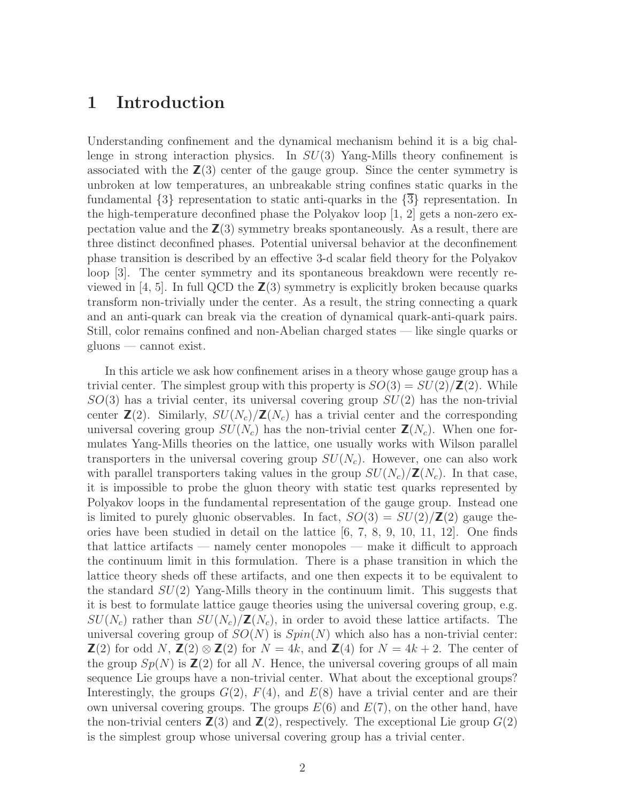### 1 Introduction

Understanding confinement and the dynamical mechanism behind it is a big challenge in strong interaction physics. In  $SU(3)$  Yang-Mills theory confinement is associated with the  $\mathbb{Z}(3)$  center of the gauge group. Since the center symmetry is unbroken at low temperatures, an unbreakable string confines static quarks in the fundamental  $\{3\}$  representation to static anti-quarks in the  $\{3\}$  representation. In the high-temperature deconfined phase the Polyakov loop [1, 2] gets a non-zero expectation value and the  $\mathbb{Z}(3)$  symmetry breaks spontaneously. As a result, there are three distinct deconfined phases. Potential universal behavior at the deconfinement phase transition is described by an effective 3-d scalar field theory for the Polyakov loop [3]. The center symmetry and its spontaneous breakdown were recently reviewed in [4, 5]. In full QCD the  $\mathbb{Z}(3)$  symmetry is explicitly broken because quarks transform non-trivially under the center. As a result, the string connecting a quark and an anti-quark can break via the creation of dynamical quark-anti-quark pairs. Still, color remains confined and non-Abelian charged states — like single quarks or gluons — cannot exist.

In this article we ask how confinement arises in a theory whose gauge group has a trivial center. The simplest group with this property is  $SO(3) = SU(2)/\mathbb{Z}(2)$ . While  $SO(3)$  has a trivial center, its universal covering group  $SU(2)$  has the non-trivial center  $\mathbb{Z}(2)$ . Similarly,  $SU(N_c)/\mathbb{Z}(N_c)$  has a trivial center and the corresponding universal covering group  $SU(N_c)$  has the non-trivial center  $\mathbb{Z}(N_c)$ . When one formulates Yang-Mills theories on the lattice, one usually works with Wilson parallel transporters in the universal covering group  $SU(N_c)$ . However, one can also work with parallel transporters taking values in the group  $SU(N_c)/\mathbb{Z}(N_c)$ . In that case, it is impossible to probe the gluon theory with static test quarks represented by Polyakov loops in the fundamental representation of the gauge group. Instead one is limited to purely gluonic observables. In fact,  $SO(3) = SU(2)/\mathbb{Z}(2)$  gauge theories have been studied in detail on the lattice  $(6, 7, 8, 9, 10, 11, 12]$ . One finds that lattice artifacts — namely center monopoles — make it difficult to approach the continuum limit in this formulation. There is a phase transition in which the lattice theory sheds off these artifacts, and one then expects it to be equivalent to the standard  $SU(2)$  Yang-Mills theory in the continuum limit. This suggests that it is best to formulate lattice gauge theories using the universal covering group, e.g.  $SU(N_c)$  rather than  $SU(N_c)/\mathbb{Z}(N_c)$ , in order to avoid these lattice artifacts. The universal covering group of  $SO(N)$  is  $Spin(N)$  which also has a non-trivial center:  $\mathbb{Z}(2)$  for odd N,  $\mathbb{Z}(2) \otimes \mathbb{Z}(2)$  for  $N = 4k$ , and  $\mathbb{Z}(4)$  for  $N = 4k + 2$ . The center of the group  $Sp(N)$  is  $\mathbb{Z}(2)$  for all N. Hence, the universal covering groups of all main sequence Lie groups have a non-trivial center. What about the exceptional groups? Interestingly, the groups  $G(2)$ ,  $F(4)$ , and  $E(8)$  have a trivial center and are their own universal covering groups. The groups  $E(6)$  and  $E(7)$ , on the other hand, have the non-trivial centers  $\mathbb{Z}(3)$  and  $\mathbb{Z}(2)$ , respectively. The exceptional Lie group  $G(2)$ is the simplest group whose universal covering group has a trivial center.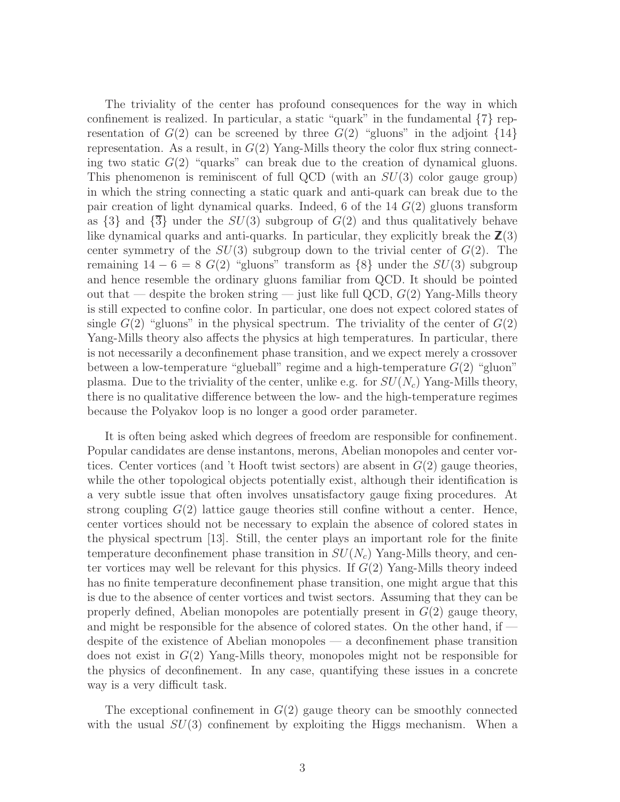The triviality of the center has profound consequences for the way in which confinement is realized. In particular, a static "quark" in the fundamental  $\{7\}$  representation of  $G(2)$  can be screened by three  $G(2)$  "gluons" in the adjoint  $\{14\}$ representation. As a result, in  $G(2)$  Yang-Mills theory the color flux string connecting two static  $G(2)$  "quarks" can break due to the creation of dynamical gluons. This phenomenon is reminiscent of full QCD (with an  $SU(3)$  color gauge group) in which the string connecting a static quark and anti-quark can break due to the pair creation of light dynamical quarks. Indeed, 6 of the 14  $G(2)$  gluons transform as  $\{3\}$  and  $\{\overline{3}\}$  under the  $SU(3)$  subgroup of  $G(2)$  and thus qualitatively behave like dynamical quarks and anti-quarks. In particular, they explicitly break the  $\mathbb{Z}(3)$ center symmetry of the  $SU(3)$  subgroup down to the trivial center of  $G(2)$ . The remaining  $14 - 6 = 8$  G(2) "gluons" transform as  $\{8\}$  under the  $SU(3)$  subgroup and hence resemble the ordinary gluons familiar from QCD. It should be pointed out that — despite the broken string — just like full QCD,  $G(2)$  Yang-Mills theory is still expected to confine color. In particular, one does not expect colored states of single  $G(2)$  "gluons" in the physical spectrum. The triviality of the center of  $G(2)$ Yang-Mills theory also affects the physics at high temperatures. In particular, there is not necessarily a deconfinement phase transition, and we expect merely a crossover between a low-temperature "glueball" regime and a high-temperature  $G(2)$  "gluon" plasma. Due to the triviality of the center, unlike e.g. for  $SU(N_c)$  Yang-Mills theory, there is no qualitative difference between the low- and the high-temperature regimes because the Polyakov loop is no longer a good order parameter.

It is often being asked which degrees of freedom are responsible for confinement. Popular candidates are dense instantons, merons, Abelian monopoles and center vortices. Center vortices (and 't Hooft twist sectors) are absent in  $G(2)$  gauge theories, while the other topological objects potentially exist, although their identification is a very subtle issue that often involves unsatisfactory gauge fixing procedures. At strong coupling  $G(2)$  lattice gauge theories still confine without a center. Hence, center vortices should not be necessary to explain the absence of colored states in the physical spectrum [13]. Still, the center plays an important role for the finite temperature deconfinement phase transition in  $SU(N_c)$  Yang-Mills theory, and center vortices may well be relevant for this physics. If  $G(2)$  Yang-Mills theory indeed has no finite temperature deconfinement phase transition, one might argue that this is due to the absence of center vortices and twist sectors. Assuming that they can be properly defined, Abelian monopoles are potentially present in  $G(2)$  gauge theory, and might be responsible for the absence of colored states. On the other hand, if despite of the existence of Abelian monopoles — a deconfinement phase transition does not exist in  $G(2)$  Yang-Mills theory, monopoles might not be responsible for the physics of deconfinement. In any case, quantifying these issues in a concrete way is a very difficult task.

The exceptional confinement in  $G(2)$  gauge theory can be smoothly connected with the usual  $SU(3)$  confinement by exploiting the Higgs mechanism. When a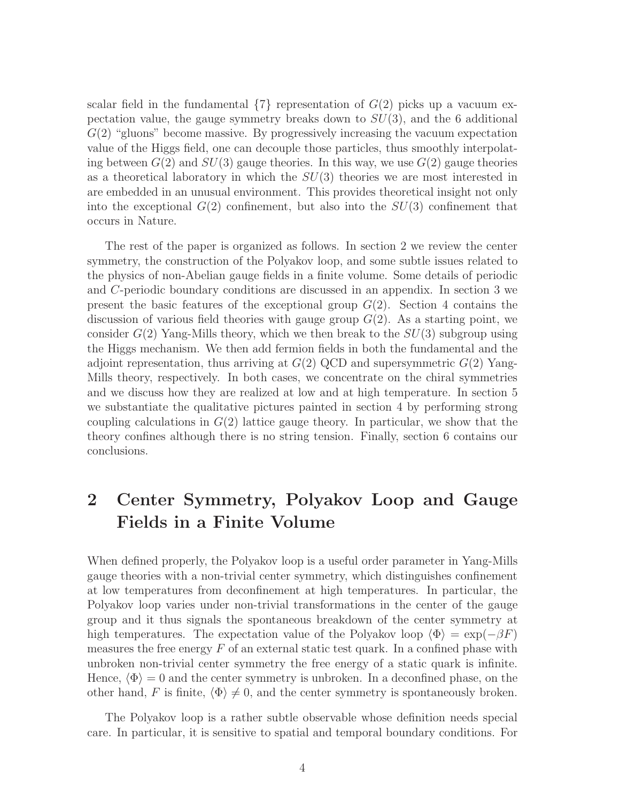scalar field in the fundamental  $\{7\}$  representation of  $G(2)$  picks up a vacuum expectation value, the gauge symmetry breaks down to  $SU(3)$ , and the 6 additional  $G(2)$  "gluons" become massive. By progressively increasing the vacuum expectation value of the Higgs field, one can decouple those particles, thus smoothly interpolating between  $G(2)$  and  $SU(3)$  gauge theories. In this way, we use  $G(2)$  gauge theories as a theoretical laboratory in which the  $SU(3)$  theories we are most interested in are embedded in an unusual environment. This provides theoretical insight not only into the exceptional  $G(2)$  confinement, but also into the  $SU(3)$  confinement that occurs in Nature.

The rest of the paper is organized as follows. In section 2 we review the center symmetry, the construction of the Polyakov loop, and some subtle issues related to the physics of non-Abelian gauge fields in a finite volume. Some details of periodic and C-periodic boundary conditions are discussed in an appendix. In section 3 we present the basic features of the exceptional group  $G(2)$ . Section 4 contains the discussion of various field theories with gauge group  $G(2)$ . As a starting point, we consider  $G(2)$  Yang-Mills theory, which we then break to the  $SU(3)$  subgroup using the Higgs mechanism. We then add fermion fields in both the fundamental and the adjoint representation, thus arriving at  $G(2)$  QCD and supersymmetric  $G(2)$  Yang-Mills theory, respectively. In both cases, we concentrate on the chiral symmetries and we discuss how they are realized at low and at high temperature. In section 5 we substantiate the qualitative pictures painted in section 4 by performing strong coupling calculations in  $G(2)$  lattice gauge theory. In particular, we show that the theory confines although there is no string tension. Finally, section 6 contains our conclusions.

# 2 Center Symmetry, Polyakov Loop and Gauge Fields in a Finite Volume

When defined properly, the Polyakov loop is a useful order parameter in Yang-Mills gauge theories with a non-trivial center symmetry, which distinguishes confinement at low temperatures from deconfinement at high temperatures. In particular, the Polyakov loop varies under non-trivial transformations in the center of the gauge group and it thus signals the spontaneous breakdown of the center symmetry at high temperatures. The expectation value of the Polyakov loop  $\langle \Phi \rangle = \exp(-\beta F)$ measures the free energy  $F$  of an external static test quark. In a confined phase with unbroken non-trivial center symmetry the free energy of a static quark is infinite. Hence,  $\langle \Phi \rangle = 0$  and the center symmetry is unbroken. In a deconfined phase, on the other hand, F is finite,  $\langle \Phi \rangle \neq 0$ , and the center symmetry is spontaneously broken.

The Polyakov loop is a rather subtle observable whose definition needs special care. In particular, it is sensitive to spatial and temporal boundary conditions. For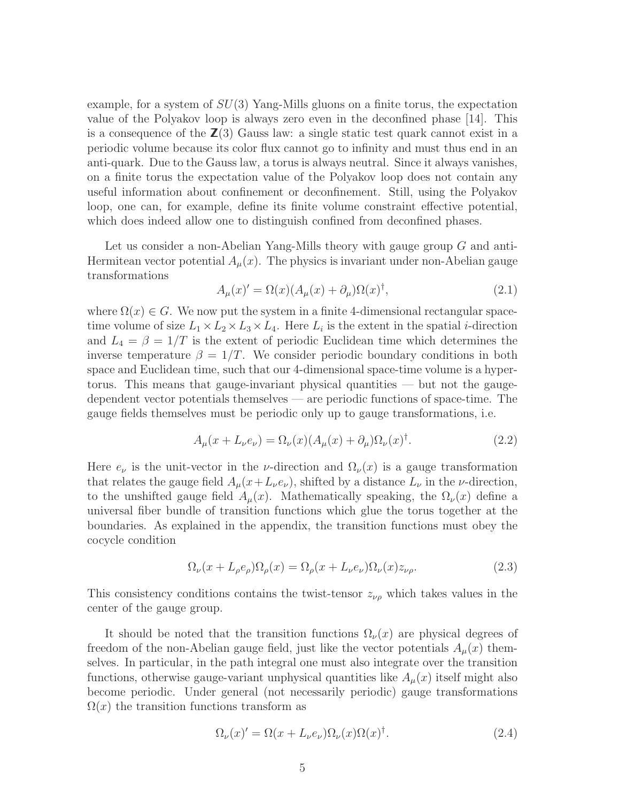example, for a system of  $SU(3)$  Yang-Mills gluons on a finite torus, the expectation value of the Polyakov loop is always zero even in the deconfined phase [14]. This is a consequence of the  $\mathbb{Z}(3)$  Gauss law: a single static test quark cannot exist in a periodic volume because its color flux cannot go to infinity and must thus end in an anti-quark. Due to the Gauss law, a torus is always neutral. Since it always vanishes, on a finite torus the expectation value of the Polyakov loop does not contain any useful information about confinement or deconfinement. Still, using the Polyakov loop, one can, for example, define its finite volume constraint effective potential, which does indeed allow one to distinguish confined from deconfined phases.

Let us consider a non-Abelian Yang-Mills theory with gauge group G and anti-Hermitean vector potential  $A<sub>u</sub>(x)$ . The physics is invariant under non-Abelian gauge transformations

$$
A_{\mu}(x)' = \Omega(x)(A_{\mu}(x) + \partial_{\mu})\Omega(x)^{\dagger}, \tag{2.1}
$$

where  $\Omega(x) \in G$ . We now put the system in a finite 4-dimensional rectangular spacetime volume of size  $L_1 \times L_2 \times L_3 \times L_4$ . Here  $L_i$  is the extent in the spatial *i*-direction and  $L_4 = \beta = 1/T$  is the extent of periodic Euclidean time which determines the inverse temperature  $\beta = 1/T$ . We consider periodic boundary conditions in both space and Euclidean time, such that our 4-dimensional space-time volume is a hypertorus. This means that gauge-invariant physical quantities — but not the gaugedependent vector potentials themselves — are periodic functions of space-time. The gauge fields themselves must be periodic only up to gauge transformations, i.e.

$$
A_{\mu}(x + L_{\nu}e_{\nu}) = \Omega_{\nu}(x)(A_{\mu}(x) + \partial_{\mu})\Omega_{\nu}(x)^{\dagger}.
$$
\n(2.2)

Here  $e_{\nu}$  is the unit-vector in the *ν*-direction and  $\Omega_{\nu}(x)$  is a gauge transformation that relates the gauge field  $A_{\mu}(x+L_{\nu}e_{\nu})$ , shifted by a distance  $L_{\nu}$  in the  $\nu$ -direction, to the unshifted gauge field  $A_u(x)$ . Mathematically speaking, the  $\Omega_{\nu}(x)$  define a universal fiber bundle of transition functions which glue the torus together at the boundaries. As explained in the appendix, the transition functions must obey the cocycle condition

$$
\Omega_{\nu}(x + L_{\rho}e_{\rho})\Omega_{\rho}(x) = \Omega_{\rho}(x + L_{\nu}e_{\nu})\Omega_{\nu}(x)z_{\nu\rho}.
$$
\n(2.3)

This consistency conditions contains the twist-tensor  $z_{\nu\rho}$  which takes values in the center of the gauge group.

It should be noted that the transition functions  $\Omega_{\nu}(x)$  are physical degrees of freedom of the non-Abelian gauge field, just like the vector potentials  $A_u(x)$  themselves. In particular, in the path integral one must also integrate over the transition functions, otherwise gauge-variant unphysical quantities like  $A<sub>u</sub>(x)$  itself might also become periodic. Under general (not necessarily periodic) gauge transformations  $\Omega(x)$  the transition functions transform as

$$
\Omega_{\nu}(x)' = \Omega(x + L_{\nu}e_{\nu})\Omega_{\nu}(x)\Omega(x)^{\dagger}.
$$
\n(2.4)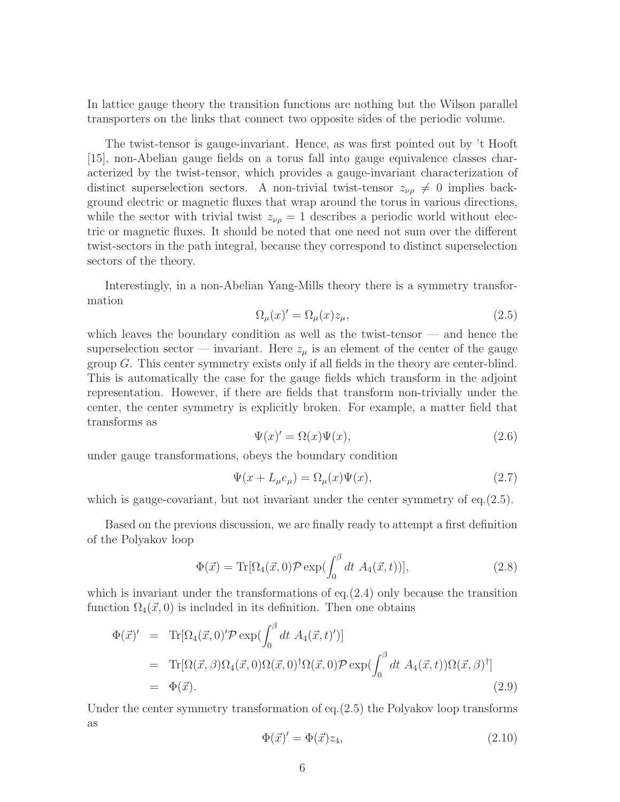In lattice gauge theory the transition functions are nothing but the Wilson parallel transporters on the links that connect two opposite sides of the periodic volume.

The twist-tensor is gauge-invariant. Hence, as was first pointed out by 't Hooft [15], non-Abelian gauge fields on a torus fall into gauge equivalence classes characterized by the twist-tensor, which provides a gauge-invariant characterization of distinct superselection sectors. A non-trivial twist-tensor  $z_{\nu\rho} \neq 0$  implies background electric or magnetic fluxes that wrap around the torus in various directions, while the sector with trivial twist  $z_{\nu\rho} = 1$  describes a periodic world without electric or magnetic fluxes. It should be noted that one need not sum over the different twist-sectors in the path integral, because they correspond to distinct superselection sectors of the theory.

Interestingly, in a non-Abelian Yang-Mills theory there is a symmetry transformation

$$
\Omega_{\mu}(x)' = \Omega_{\mu}(x)z_{\mu},\tag{2.5}
$$

which leaves the boundary condition as well as the twist-tensor  $\overline{\phantom{a}}$  and hence the superselection sector — invariant. Here  $z_{\mu}$  is an element of the center of the gauge group  $G$ . This center symmetry exists only if all fields in the theory are center-blind. This is automatically the case for the gauge fields which transform in the adjoint representation. However, if there are fields that transform non-trivially under the center, the center symmetry is explicitly broken. For example, a matter field that transforms as

$$
\Psi(x)' = \Omega(x)\Psi(x),\tag{2.6}
$$

under gauge transformations, obeys the boundary condition

$$
\Psi(x + L_{\mu}e_{\mu}) = \Omega_{\mu}(x)\Psi(x),\tag{2.7}
$$

which is gauge-covariant, but not invariant under the center symmetry of eq.(2.5).

Based on the previous discussion, we are finally ready to attempt a first definition of the Polyakov loop

$$
\Phi(\vec{x}) = \text{Tr}[\Omega_4(\vec{x},0)\mathcal{P}\exp(\int_0^\beta dt \ A_4(\vec{x},t))],\tag{2.8}
$$

which is invariant under the transformations of  $eq.2.4$ ) only because the transition function  $\Omega_4(\vec{x}, 0)$  is included in its definition. Then one obtains

$$
\Phi(\vec{x})' = \text{Tr}[\Omega_4(\vec{x},0)'\mathcal{P}\exp(\int_0^\beta dt \ A_4(\vec{x},t)')]
$$
  
\n
$$
= \text{Tr}[\Omega(\vec{x},\beta)\Omega_4(\vec{x},0)\Omega(\vec{x},0)^\dagger\Omega(\vec{x},0)\mathcal{P}\exp(\int_0^\beta dt \ A_4(\vec{x},t))\Omega(\vec{x},\beta)^\dagger]
$$
  
\n
$$
= \Phi(\vec{x}). \tag{2.9}
$$

Under the center symmetry transformation of  $eq.2.5$ ) the Polyakov loop transforms as

$$
\Phi(\vec{x})' = \Phi(\vec{x})z_4,\tag{2.10}
$$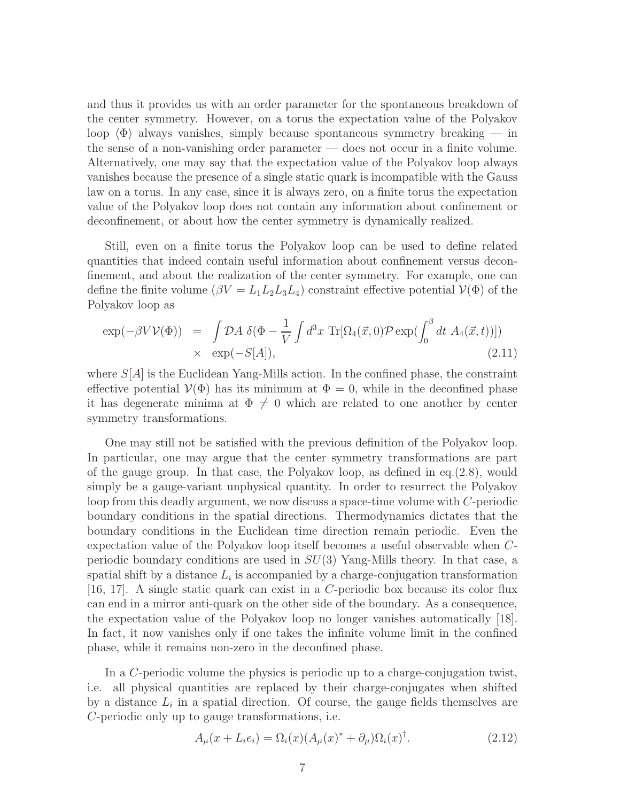and thus it provides us with an order parameter for the spontaneous breakdown of the center symmetry. However, on a torus the expectation value of the Polyakov loop  $\langle \Phi \rangle$  always vanishes, simply because spontaneous symmetry breaking — in the sense of a non-vanishing order parameter — does not occur in a finite volume. Alternatively, one may say that the expectation value of the Polyakov loop always vanishes because the presence of a single static quark is incompatible with the Gauss law on a torus. In any case, since it is always zero, on a finite torus the expectation value of the Polyakov loop does not contain any information about confinement or deconfinement, or about how the center symmetry is dynamically realized.

Still, even on a finite torus the Polyakov loop can be used to define related quantities that indeed contain useful information about confinement versus deconfinement, and about the realization of the center symmetry. For example, one can define the finite volume  $(\beta V = L_1 L_2 L_3 L_4)$  constraint effective potential  $V(\Phi)$  of the Polyakov loop as

$$
\exp(-\beta V V(\Phi)) = \int \mathcal{D}A \, \delta(\Phi - \frac{1}{V} \int d^3x \, \text{Tr}[\Omega_4(\vec{x}, 0) \mathcal{P} \exp(\int_0^\beta dt \, A_4(\vec{x}, t))])
$$
  
  $\times \exp(-S[A]),$  (2.11)

where  $S[A]$  is the Euclidean Yang-Mills action. In the confined phase, the constraint effective potential  $V(\Phi)$  has its minimum at  $\Phi = 0$ , while in the deconfined phase it has degenerate minima at  $\Phi \neq 0$  which are related to one another by center symmetry transformations.

One may still not be satisfied with the previous definition of the Polyakov loop. In particular, one may argue that the center symmetry transformations are part of the gauge group. In that case, the Polyakov loop, as defined in eq.(2.8), would simply be a gauge-variant unphysical quantity. In order to resurrect the Polyakov loop from this deadly argument, we now discuss a space-time volume with C-periodic boundary conditions in the spatial directions. Thermodynamics dictates that the boundary conditions in the Euclidean time direction remain periodic. Even the expectation value of the Polyakov loop itself becomes a useful observable when Cperiodic boundary conditions are used in  $SU(3)$  Yang-Mills theory. In that case, a spatial shift by a distance  $L_i$  is accompanied by a charge-conjugation transformation [16, 17]. A single static quark can exist in a C-periodic box because its color flux can end in a mirror anti-quark on the other side of the boundary. As a consequence, the expectation value of the Polyakov loop no longer vanishes automatically [18]. In fact, it now vanishes only if one takes the infinite volume limit in the confined phase, while it remains non-zero in the deconfined phase.

In a C-periodic volume the physics is periodic up to a charge-conjugation twist, i.e. all physical quantities are replaced by their charge-conjugates when shifted by a distance  $L_i$  in a spatial direction. Of course, the gauge fields themselves are C-periodic only up to gauge transformations, i.e.

$$
A_{\mu}(x + L_i e_i) = \Omega_i(x)(A_{\mu}(x)^{*} + \partial_{\mu})\Omega_i(x)^{\dagger}.
$$
\n(2.12)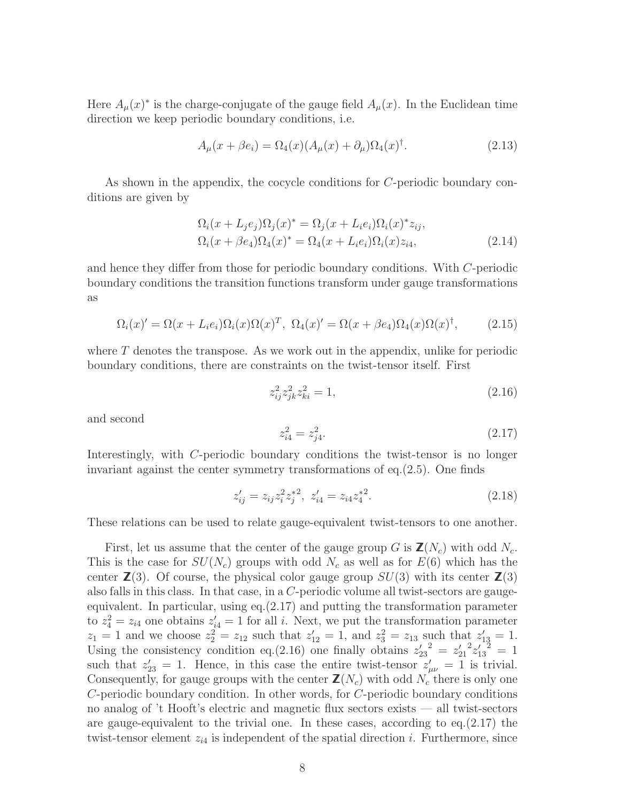Here  $A_{\mu}(x)^{*}$  is the charge-conjugate of the gauge field  $A_{\mu}(x)$ . In the Euclidean time direction we keep periodic boundary conditions, i.e.

$$
A_{\mu}(x+\beta e_i) = \Omega_4(x)(A_{\mu}(x) + \partial_{\mu})\Omega_4(x)^{\dagger}.
$$
\n(2.13)

As shown in the appendix, the cocycle conditions for C-periodic boundary conditions are given by

$$
\Omega_i(x + L_j e_j)\Omega_j(x)^* = \Omega_j(x + L_i e_i)\Omega_i(x)^* z_{ij},
$$
  
\n
$$
\Omega_i(x + \beta e_4)\Omega_4(x)^* = \Omega_4(x + L_i e_i)\Omega_i(x) z_{i4},
$$
\n(2.14)

and hence they differ from those for periodic boundary conditions. With C-periodic boundary conditions the transition functions transform under gauge transformations as

$$
\Omega_i(x)' = \Omega(x + L_i e_i) \Omega_i(x) \Omega(x)^T, \ \Omega_4(x)' = \Omega(x + \beta e_4) \Omega_4(x) \Omega(x)^\dagger, \tag{2.15}
$$

where  $T$  denotes the transpose. As we work out in the appendix, unlike for periodic boundary conditions, there are constraints on the twist-tensor itself. First

$$
z_{ij}^2 z_{jk}^2 z_{ki}^2 = 1,\t\t(2.16)
$$

and second

$$
z_{i4}^2 = z_{j4}^2. \tag{2.17}
$$

Interestingly, with C-periodic boundary conditions the twist-tensor is no longer invariant against the center symmetry transformations of eq.(2.5). One finds

$$
z'_{ij} = z_{ij} z_i^2 z_j^{*2}, \ z'_{i4} = z_{i4} z_4^{*2}.
$$
 (2.18)

These relations can be used to relate gauge-equivalent twist-tensors to one another.

First, let us assume that the center of the gauge group G is  $\mathbf{Z}(N_c)$  with odd  $N_c$ . This is the case for  $SU(N_c)$  groups with odd  $N_c$  as well as for  $E(6)$  which has the center  $\mathbb{Z}(3)$ . Of course, the physical color gauge group  $SU(3)$  with its center  $\mathbb{Z}(3)$ also falls in this class. In that case, in a C-periodic volume all twist-sectors are gaugeequivalent. In particular, using eq.(2.17) and putting the transformation parameter to  $z_4^2 = z_{i4}$  one obtains  $z_{i4}' = 1$  for all i. Next, we put the transformation parameter  $z_1 = 1$  and we choose  $z_2^2 = z_{12}$  such that  $z'_{12} = 1$ , and  $z_3^2 = z_{13}$  such that  $z'_{13} = 1$ . Using the consistency condition eq.(2.16) one finally obtains  $z'_{23}^2 = z'_{21}$  $2z'_{13}^2 = 1$ such that  $z'_{23} = 1$ . Hence, in this case the entire twist-tensor  $z'_{\mu\nu} = 1$  is trivial. Consequently, for gauge groups with the center  $\mathbb{Z}(N_c)$  with odd  $N_c$  there is only one C-periodic boundary condition. In other words, for C-periodic boundary conditions no analog of 't Hooft's electric and magnetic flux sectors exists — all twist-sectors are gauge-equivalent to the trivial one. In these cases, according to eq.(2.17) the twist-tensor element  $z_{i4}$  is independent of the spatial direction i. Furthermore, since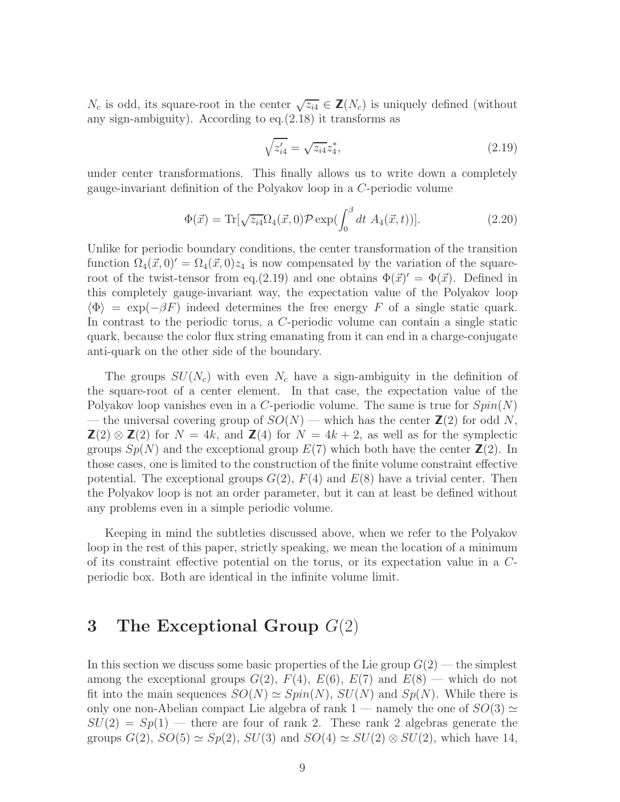$N_c$  is odd, its square-root in the center  $\sqrt{z_{i4}} \in \mathbb{Z}(N_c)$  is uniquely defined (without any sign-ambiguity). According to eq.(2.18) it transforms as

$$
\sqrt{z_{i4}'} = \sqrt{z_{i4}} z_4^*,\tag{2.19}
$$

under center transformations. This finally allows us to write down a completely gauge-invariant definition of the Polyakov loop in a C-periodic volume

$$
\Phi(\vec{x}) = \text{Tr}[\sqrt{z_{i4}}\Omega_4(\vec{x},0)\mathcal{P}\exp(\int_0^\beta dt \ A_4(\vec{x},t))]. \tag{2.20}
$$

Unlike for periodic boundary conditions, the center transformation of the transition function  $\Omega_4(\vec{x}, 0)' = \Omega_4(\vec{x}, 0)z_4$  is now compensated by the variation of the squareroot of the twist-tensor from eq.(2.19) and one obtains  $\Phi(\vec{x})' = \Phi(\vec{x})$ . Defined in this completely gauge-invariant way, the expectation value of the Polyakov loop  $\langle \Phi \rangle = \exp(-\beta F)$  indeed determines the free energy F of a single static quark. In contrast to the periodic torus, a C-periodic volume can contain a single static quark, because the color flux string emanating from it can end in a charge-conjugate anti-quark on the other side of the boundary.

The groups  $SU(N_c)$  with even  $N_c$  have a sign-ambiguity in the definition of the square-root of a center element. In that case, the expectation value of the Polyakov loop vanishes even in a C-periodic volume. The same is true for  $Spin(N)$ — the universal covering group of  $SO(N)$  — which has the center  $\mathbb{Z}(2)$  for odd N,  $\mathbf{Z}(2) \otimes \mathbf{Z}(2)$  for  $N = 4k$ , and  $\mathbf{Z}(4)$  for  $N = 4k + 2$ , as well as for the symplectic groups  $Sp(N)$  and the exceptional group  $E(7)$  which both have the center  $\mathbb{Z}(2)$ . In those cases, one is limited to the construction of the finite volume constraint effective potential. The exceptional groups  $G(2)$ ,  $F(4)$  and  $E(8)$  have a trivial center. Then the Polyakov loop is not an order parameter, but it can at least be defined without any problems even in a simple periodic volume.

Keeping in mind the subtleties discussed above, when we refer to the Polyakov loop in the rest of this paper, strictly speaking, we mean the location of a minimum of its constraint effective potential on the torus, or its expectation value in a Cperiodic box. Both are identical in the infinite volume limit.

## 3 The Exceptional Group  $G(2)$

In this section we discuss some basic properties of the Lie group  $G(2)$  — the simplest among the exceptional groups  $G(2)$ ,  $F(4)$ ,  $E(6)$ ,  $E(7)$  and  $E(8)$  — which do not fit into the main sequences  $SO(N) \simeq Spin(N)$ ,  $SU(N)$  and  $Sp(N)$ . While there is only one non-Abelian compact Lie algebra of rank 1 — namely the one of  $SO(3) \simeq$  $SU(2) = Sp(1)$  — there are four of rank 2. These rank 2 algebras generate the groups  $G(2)$ ,  $SO(5) \simeq Sp(2)$ ,  $SU(3)$  and  $SO(4) \simeq SU(2) \otimes SU(2)$ , which have 14,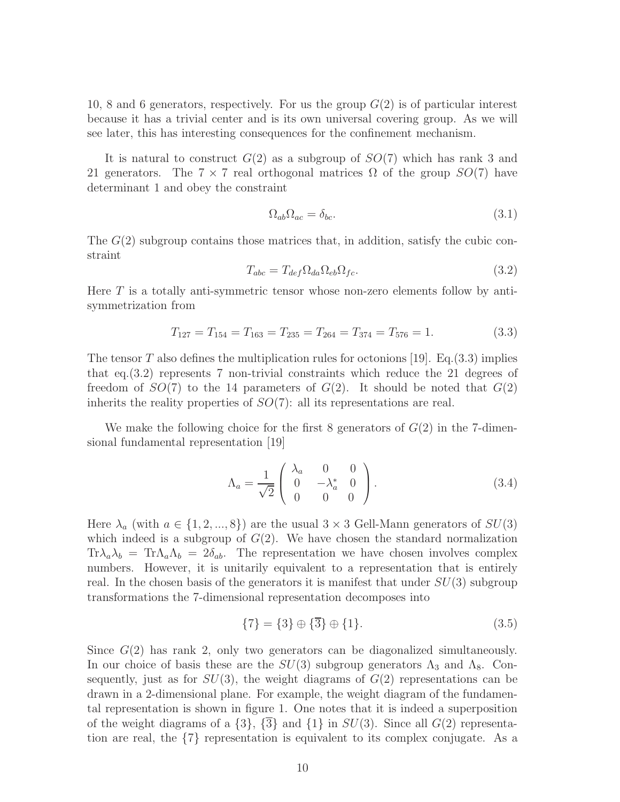10, 8 and 6 generators, respectively. For us the group  $G(2)$  is of particular interest because it has a trivial center and is its own universal covering group. As we will see later, this has interesting consequences for the confinement mechanism.

It is natural to construct  $G(2)$  as a subgroup of  $SO(7)$  which has rank 3 and 21 generators. The  $7 \times 7$  real orthogonal matrices  $\Omega$  of the group  $SO(7)$  have determinant 1 and obey the constraint

$$
\Omega_{ab}\Omega_{ac} = \delta_{bc}.\tag{3.1}
$$

The  $G(2)$  subgroup contains those matrices that, in addition, satisfy the cubic constraint

$$
T_{abc} = T_{def} \Omega_{da} \Omega_{eb} \Omega_{fc}.
$$
\n(3.2)

Here  $T$  is a totally anti-symmetric tensor whose non-zero elements follow by antisymmetrization from

$$
T_{127} = T_{154} = T_{163} = T_{235} = T_{264} = T_{374} = T_{576} = 1.
$$
\n(3.3)

The tensor T also defines the multiplication rules for octonions [19]. Eq.  $(3.3)$  implies that eq.(3.2) represents 7 non-trivial constraints which reduce the 21 degrees of freedom of  $SO(7)$  to the 14 parameters of  $G(2)$ . It should be noted that  $G(2)$ inherits the reality properties of  $SO(7)$ : all its representations are real.

We make the following choice for the first 8 generators of  $G(2)$  in the 7-dimensional fundamental representation [19]

$$
\Lambda_a = \frac{1}{\sqrt{2}} \begin{pmatrix} \lambda_a & 0 & 0 \\ 0 & -\lambda_a^* & 0 \\ 0 & 0 & 0 \end{pmatrix} . \tag{3.4}
$$

Here  $\lambda_a$  (with  $a \in \{1, 2, ..., 8\}$ ) are the usual  $3 \times 3$  Gell-Mann generators of  $SU(3)$ which indeed is a subgroup of  $G(2)$ . We have chosen the standard normalization  $Tr \lambda_a \lambda_b = Tr \Lambda_a \Lambda_b = 2\delta_{ab}$ . The representation we have chosen involves complex numbers. However, it is unitarily equivalent to a representation that is entirely real. In the chosen basis of the generators it is manifest that under  $SU(3)$  subgroup transformations the 7-dimensional representation decomposes into

$$
\{7\} = \{3\} \oplus \{\overline{3}\} \oplus \{1\}.
$$
 (3.5)

Since  $G(2)$  has rank 2, only two generators can be diagonalized simultaneously. In our choice of basis these are the  $SU(3)$  subgroup generators  $\Lambda_3$  and  $\Lambda_8$ . Consequently, just as for  $SU(3)$ , the weight diagrams of  $G(2)$  representations can be drawn in a 2-dimensional plane. For example, the weight diagram of the fundamental representation is shown in figure 1. One notes that it is indeed a superposition of the weight diagrams of a  $\{3\}$ ,  $\{\overline{3}\}$  and  $\{1\}$  in  $SU(3)$ . Since all  $G(2)$  representation are real, the {7} representation is equivalent to its complex conjugate. As a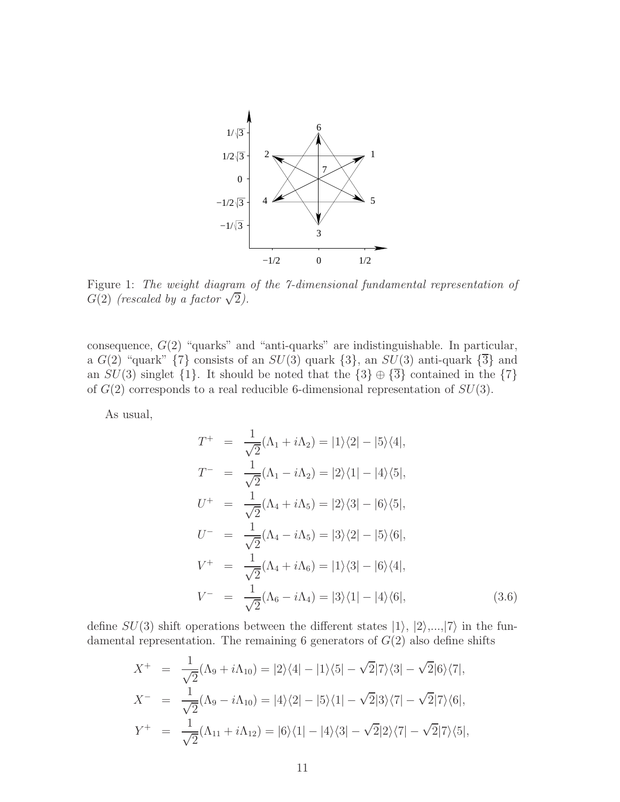

Figure 1: The weight diagram of the 7-dimensional fundamental representation of  $G(2)$  (rescaled by a factor  $\sqrt{2}$ ).

consequence,  $G(2)$  "quarks" and "anti-quarks" are indistinguishable. In particular, a  $G(2)$  "quark"  $\{7\}$  consists of an  $SU(3)$  quark  $\{3\}$ , an  $SU(3)$  anti-quark  $\{\overline{3}\}$  and an  $SU(3)$  singlet  $\{1\}$ . It should be noted that the  $\{3\} \oplus \{\overline{3}\}$  contained in the  $\{7\}$ of  $G(2)$  corresponds to a real reducible 6-dimensional representation of  $SU(3)$ .

As usual,

$$
T^{+} = \frac{1}{\sqrt{2}} (\Lambda_{1} + i\Lambda_{2}) = |1\rangle\langle 2| - |5\rangle\langle 4|,
$$
  
\n
$$
T^{-} = \frac{1}{\sqrt{2}} (\Lambda_{1} - i\Lambda_{2}) = |2\rangle\langle 1| - |4\rangle\langle 5|,
$$
  
\n
$$
U^{+} = \frac{1}{\sqrt{2}} (\Lambda_{4} + i\Lambda_{5}) = |2\rangle\langle 3| - |6\rangle\langle 5|,
$$
  
\n
$$
U^{-} = \frac{1}{\sqrt{2}} (\Lambda_{4} - i\Lambda_{5}) = |3\rangle\langle 2| - |5\rangle\langle 6|,
$$
  
\n
$$
V^{+} = \frac{1}{\sqrt{2}} (\Lambda_{4} + i\Lambda_{6}) = |1\rangle\langle 3| - |6\rangle\langle 4|,
$$
  
\n
$$
V^{-} = \frac{1}{\sqrt{2}} (\Lambda_{6} - i\Lambda_{4}) = |3\rangle\langle 1| - |4\rangle\langle 6|,
$$
  
\n(3.6)

define  $SU(3)$  shift operations between the different states  $|1\rangle$ ,  $|2\rangle$ ,..., $|7\rangle$  in the fundamental representation. The remaining 6 generators of  $G(2)$  also define shifts

$$
X^{+} = \frac{1}{\sqrt{2}} (\Lambda_{9} + i\Lambda_{10}) = |2\rangle\langle4| - |1\rangle\langle5| - \sqrt{2}|7\rangle\langle3| - \sqrt{2}|6\rangle\langle7|,
$$
  
\n
$$
X^{-} = \frac{1}{\sqrt{2}} (\Lambda_{9} - i\Lambda_{10}) = |4\rangle\langle2| - |5\rangle\langle1| - \sqrt{2}|3\rangle\langle7| - \sqrt{2}|7\rangle\langle6|,
$$
  
\n
$$
Y^{+} = \frac{1}{\sqrt{2}} (\Lambda_{11} + i\Lambda_{12}) = |6\rangle\langle1| - |4\rangle\langle3| - \sqrt{2}|2\rangle\langle7| - \sqrt{2}|7\rangle\langle5|,
$$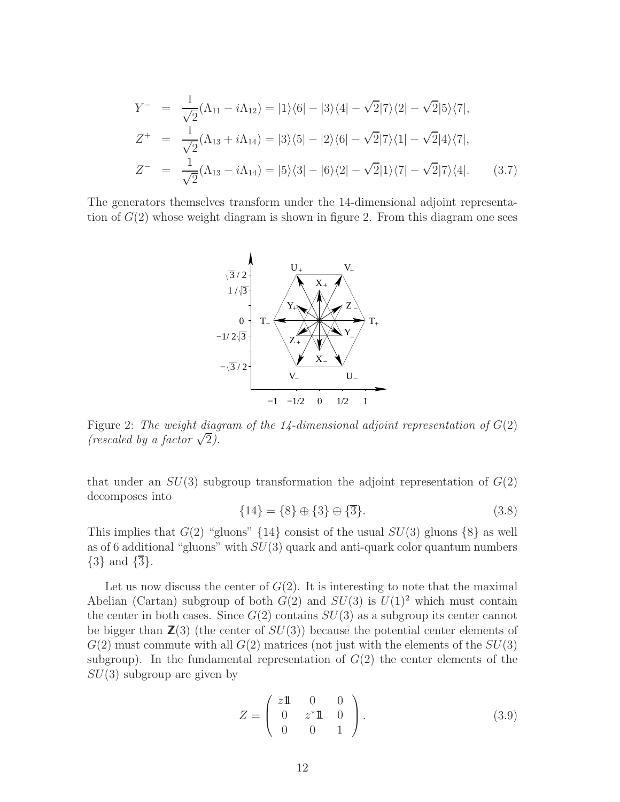$$
Y^- = \frac{1}{\sqrt{2}} (\Lambda_{11} - i\Lambda_{12}) = |1\rangle\langle 6| - |3\rangle\langle 4| - \sqrt{2}|7\rangle\langle 2| - \sqrt{2}|5\rangle\langle 7|,
$$
  
\n
$$
Z^+ = \frac{1}{\sqrt{2}} (\Lambda_{13} + i\Lambda_{14}) = |3\rangle\langle 5| - |2\rangle\langle 6| - \sqrt{2}|7\rangle\langle 1| - \sqrt{2}|4\rangle\langle 7|,
$$
  
\n
$$
Z^- = \frac{1}{\sqrt{2}} (\Lambda_{13} - i\Lambda_{14}) = |5\rangle\langle 3| - |6\rangle\langle 2| - \sqrt{2}|1\rangle\langle 7| - \sqrt{2}|7\rangle\langle 4|.
$$
 (3.7)

The generators themselves transform under the 14-dimensional adjoint representation of  $G(2)$  whose weight diagram is shown in figure 2. From this diagram one sees



Figure 2: The weight diagram of the 14-dimensional adjoint representation of  $G(2)$ (rescaled by a factor  $\sqrt{2}$ ).

that under an  $SU(3)$  subgroup transformation the adjoint representation of  $G(2)$ decomposes into

$$
{14} = {8} \oplus {3} \oplus {\overline{3}}.
$$
 (3.8)

This implies that  $G(2)$  "gluons" {14} consist of the usual  $SU(3)$  gluons {8} as well as of 6 additional "gluons" with  $SU(3)$  quark and anti-quark color quantum numbers  $\{3\}$  and  $\{\overline{3}\}.$ 

Let us now discuss the center of  $G(2)$ . It is interesting to note that the maximal Abelian (Cartan) subgroup of both  $G(2)$  and  $SU(3)$  is  $U(1)<sup>2</sup>$  which must contain the center in both cases. Since  $G(2)$  contains  $SU(3)$  as a subgroup its center cannot be bigger than  $\mathbb{Z}(3)$  (the center of  $SU(3)$ ) because the potential center elements of  $G(2)$  must commute with all  $G(2)$  matrices (not just with the elements of the  $SU(3)$ ) subgroup). In the fundamental representation of  $G(2)$  the center elements of the  $SU(3)$  subgroup are given by

$$
Z = \begin{pmatrix} z11 & 0 & 0 \\ 0 & z^*11 & 0 \\ 0 & 0 & 1 \end{pmatrix}.
$$
 (3.9)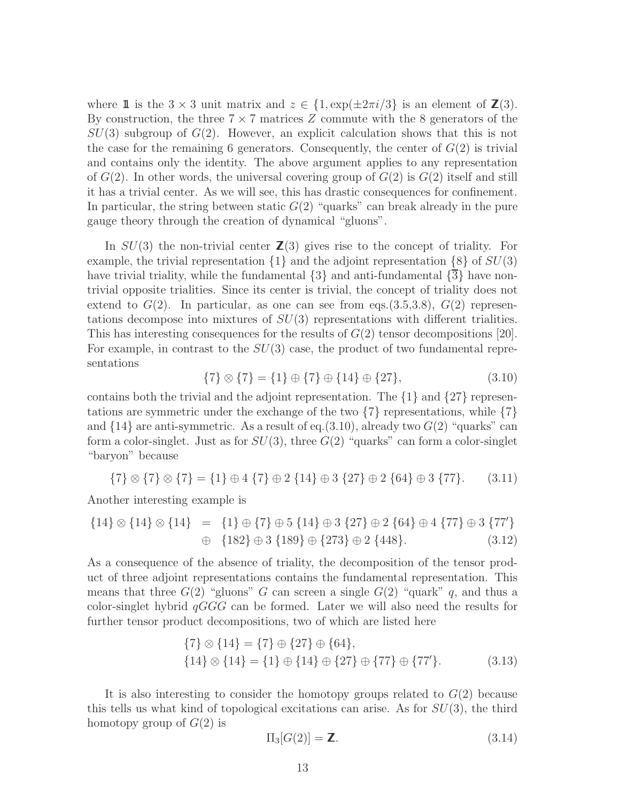where 1 is the  $3 \times 3$  unit matrix and  $z \in \{1, \exp(\pm 2\pi i/3)\}\$ is an element of  $\mathbb{Z}(3)$ . By construction, the three  $7 \times 7$  matrices Z commute with the 8 generators of the  $SU(3)$  subgroup of  $G(2)$ . However, an explicit calculation shows that this is not the case for the remaining 6 generators. Consequently, the center of  $G(2)$  is trivial and contains only the identity. The above argument applies to any representation of  $G(2)$ . In other words, the universal covering group of  $G(2)$  is  $G(2)$  itself and still it has a trivial center. As we will see, this has drastic consequences for confinement. In particular, the string between static  $G(2)$  "quarks" can break already in the pure gauge theory through the creation of dynamical "gluons".

In  $SU(3)$  the non-trivial center  $\mathbb{Z}(3)$  gives rise to the concept of triality. For example, the trivial representation  $\{1\}$  and the adjoint representation  $\{8\}$  of  $SU(3)$ have trivial triality, while the fundamental  $\{3\}$  and anti-fundamental  $\{3\}$  have nontrivial opposite trialities. Since its center is trivial, the concept of triality does not extend to  $G(2)$ . In particular, as one can see from eqs.(3.5,3.8),  $G(2)$  representations decompose into mixtures of  $SU(3)$  representations with different trialities. This has interesting consequences for the results of  $G(2)$  tensor decompositions [20]. For example, in contrast to the  $SU(3)$  case, the product of two fundamental representations

$$
\{7\} \otimes \{7\} = \{1\} \oplus \{7\} \oplus \{14\} \oplus \{27\},\tag{3.10}
$$

contains both the trivial and the adjoint representation. The {1} and {27} representations are symmetric under the exchange of the two  $\{7\}$  representations, while  $\{7\}$ and  $\{14\}$  are anti-symmetric. As a result of eq.(3.10), already two  $G(2)$  "quarks" can form a color-singlet. Just as for  $SU(3)$ , three  $G(2)$  "quarks" can form a color-singlet "baryon" because

$$
{7} \otimes {7} \otimes {7} = {1} \oplus 4 {7} \oplus 2 {14} \oplus 3 {27} \oplus 2 {64} \oplus 3 {77}. \qquad (3.11)
$$

Another interesting example is

$$
{14} \otimes {14} \otimes {14} = {1} \oplus {7} \oplus 5 {14} \oplus 3 {27} \oplus 2 {64} \oplus 4 {77} \oplus 3 {77}'
$$
  

$$
\oplus {182} \oplus 3 {189} \oplus {273} \oplus 2 {448}. \qquad (3.12)
$$

As a consequence of the absence of triality, the decomposition of the tensor product of three adjoint representations contains the fundamental representation. This means that three  $G(2)$  "gluons" G can screen a single  $G(2)$  "quark" q, and thus a color-singlet hybrid  $qGGG$  can be formed. Later we will also need the results for further tensor product decompositions, two of which are listed here

$$
\{7\} \otimes \{14\} = \{7\} \oplus \{27\} \oplus \{64\},
$$
  

$$
\{14\} \otimes \{14\} = \{1\} \oplus \{14\} \oplus \{27\} \oplus \{77\} \oplus \{77'\}.
$$
 (3.13)

It is also interesting to consider the homotopy groups related to  $G(2)$  because this tells us what kind of topological excitations can arise. As for  $SU(3)$ , the third homotopy group of  $G(2)$  is

$$
\Pi_3[G(2)] = \mathbf{Z}.\tag{3.14}
$$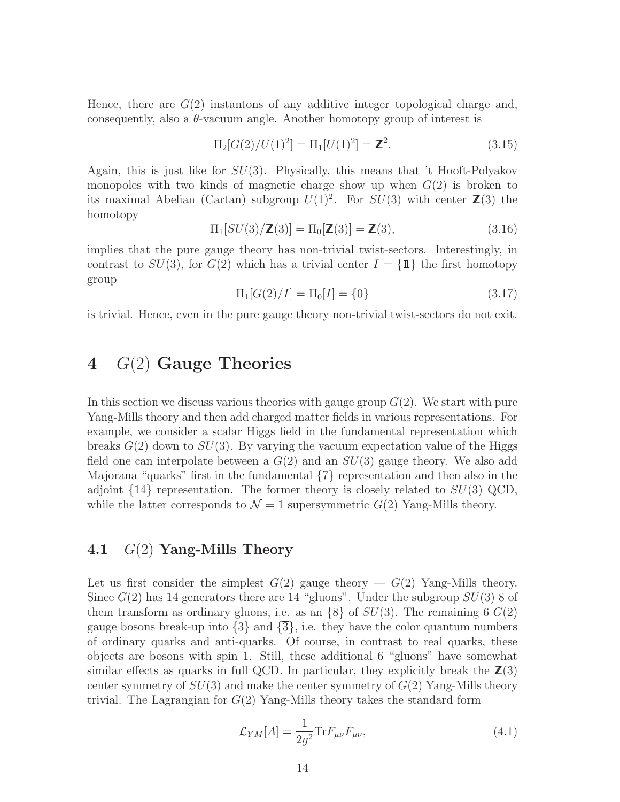Hence, there are  $G(2)$  instantons of any additive integer topological charge and, consequently, also a  $\theta$ -vacuum angle. Another homotopy group of interest is

$$
\Pi_2[G(2)/U(1)^2] = \Pi_1[U(1)^2] = \mathbb{Z}^2.
$$
\n(3.15)

Again, this is just like for  $SU(3)$ . Physically, this means that 't Hooft-Polyakov monopoles with two kinds of magnetic charge show up when  $G(2)$  is broken to its maximal Abelian (Cartan) subgroup  $U(1)^2$ . For  $SU(3)$  with center  $\mathbb{Z}(3)$  the homotopy

$$
\Pi_1[SU(3)/\mathbb{Z}(3)] = \Pi_0[\mathbb{Z}(3)] = \mathbb{Z}(3),\tag{3.16}
$$

implies that the pure gauge theory has non-trivial twist-sectors. Interestingly, in contrast to  $SU(3)$ , for  $G(2)$  which has a trivial center  $I = {\mathbf{1}\,}$  the first homotopy group

$$
\Pi_1[G(2)/I] = \Pi_0[I] = \{0\} \tag{3.17}
$$

is trivial. Hence, even in the pure gauge theory non-trivial twist-sectors do not exit.

## 4  $G(2)$  Gauge Theories

In this section we discuss various theories with gauge group  $G(2)$ . We start with pure Yang-Mills theory and then add charged matter fields in various representations. For example, we consider a scalar Higgs field in the fundamental representation which breaks  $G(2)$  down to  $SU(3)$ . By varying the vacuum expectation value of the Higgs field one can interpolate between a  $G(2)$  and an  $SU(3)$  gauge theory. We also add Majorana "quarks" first in the fundamental {7} representation and then also in the adjoint  $\{14\}$  representation. The former theory is closely related to  $SU(3)$  QCD, while the latter corresponds to  $\mathcal{N} = 1$  supersymmetric  $G(2)$  Yang-Mills theory.

### 4.1  $G(2)$  Yang-Mills Theory

Let us first consider the simplest  $G(2)$  gauge theory —  $G(2)$  Yang-Mills theory. Since  $G(2)$  has 14 generators there are 14 "gluons". Under the subgroup  $SU(3)$  8 of them transform as ordinary gluons, i.e. as an  $\{8\}$  of  $SU(3)$ . The remaining 6  $G(2)$ gauge bosons break-up into  $\{3\}$  and  $\{\overline{3}\}$ , i.e. they have the color quantum numbers of ordinary quarks and anti-quarks. Of course, in contrast to real quarks, these objects are bosons with spin 1. Still, these additional 6 "gluons" have somewhat similar effects as quarks in full QCD. In particular, they explicitly break the  $\mathbb{Z}(3)$ center symmetry of  $SU(3)$  and make the center symmetry of  $G(2)$  Yang-Mills theory trivial. The Lagrangian for  $G(2)$  Yang-Mills theory takes the standard form

$$
\mathcal{L}_{YM}[A] = \frac{1}{2g^2} \text{Tr} F_{\mu\nu} F_{\mu\nu},\tag{4.1}
$$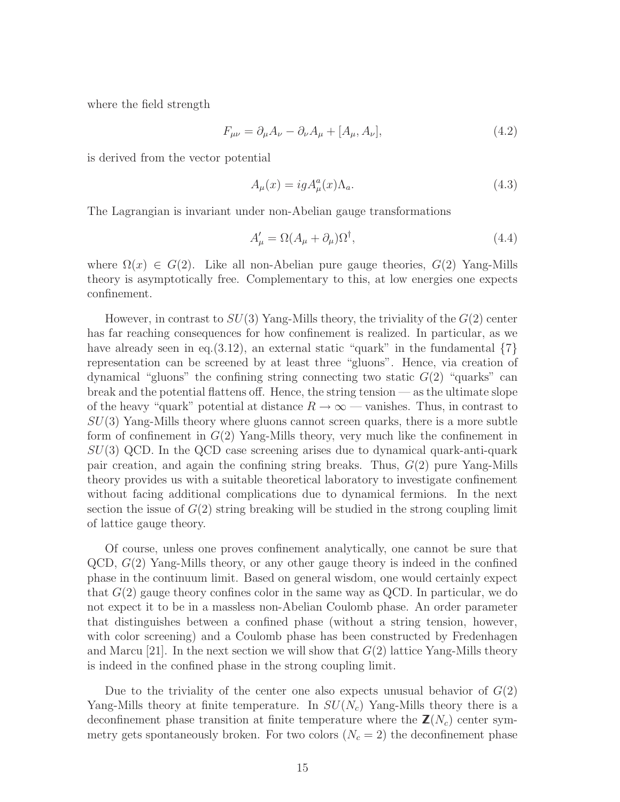where the field strength

$$
F_{\mu\nu} = \partial_{\mu}A_{\nu} - \partial_{\nu}A_{\mu} + [A_{\mu}, A_{\nu}], \qquad (4.2)
$$

is derived from the vector potential

$$
A_{\mu}(x) = ig A_{\mu}^{a}(x) \Lambda_{a}.
$$
\n(4.3)

The Lagrangian is invariant under non-Abelian gauge transformations

$$
A'_{\mu} = \Omega (A_{\mu} + \partial_{\mu}) \Omega^{\dagger}, \tag{4.4}
$$

where  $\Omega(x) \in G(2)$ . Like all non-Abelian pure gauge theories,  $G(2)$  Yang-Mills theory is asymptotically free. Complementary to this, at low energies one expects confinement.

However, in contrast to  $SU(3)$  Yang-Mills theory, the triviality of the  $G(2)$  center has far reaching consequences for how confinement is realized. In particular, as we have already seen in eq. (3.12), an external static "quark" in the fundamental  $\{7\}$ representation can be screened by at least three "gluons". Hence, via creation of dynamical "gluons" the confining string connecting two static  $G(2)$  "quarks" can break and the potential flattens off. Hence, the string tension — as the ultimate slope of the heavy "quark" potential at distance  $R \to \infty$  — vanishes. Thus, in contrast to  $SU(3)$  Yang-Mills theory where gluons cannot screen quarks, there is a more subtle form of confinement in  $G(2)$  Yang-Mills theory, very much like the confinement in  $SU(3)$  QCD. In the QCD case screening arises due to dynamical quark-anti-quark pair creation, and again the confining string breaks. Thus,  $G(2)$  pure Yang-Mills theory provides us with a suitable theoretical laboratory to investigate confinement without facing additional complications due to dynamical fermions. In the next section the issue of  $G(2)$  string breaking will be studied in the strong coupling limit of lattice gauge theory.

Of course, unless one proves confinement analytically, one cannot be sure that  $QCD, G(2)$  Yang-Mills theory, or any other gauge theory is indeed in the confined phase in the continuum limit. Based on general wisdom, one would certainly expect that  $G(2)$  gauge theory confines color in the same way as QCD. In particular, we do not expect it to be in a massless non-Abelian Coulomb phase. An order parameter that distinguishes between a confined phase (without a string tension, however, with color screening) and a Coulomb phase has been constructed by Fredenhagen and Marcu [21]. In the next section we will show that  $G(2)$  lattice Yang-Mills theory is indeed in the confined phase in the strong coupling limit.

Due to the triviality of the center one also expects unusual behavior of  $G(2)$ Yang-Mills theory at finite temperature. In  $SU(N_c)$  Yang-Mills theory there is a deconfinement phase transition at finite temperature where the  $\mathbf{Z}(N_c)$  center symmetry gets spontaneously broken. For two colors  $(N_c = 2)$  the deconfinement phase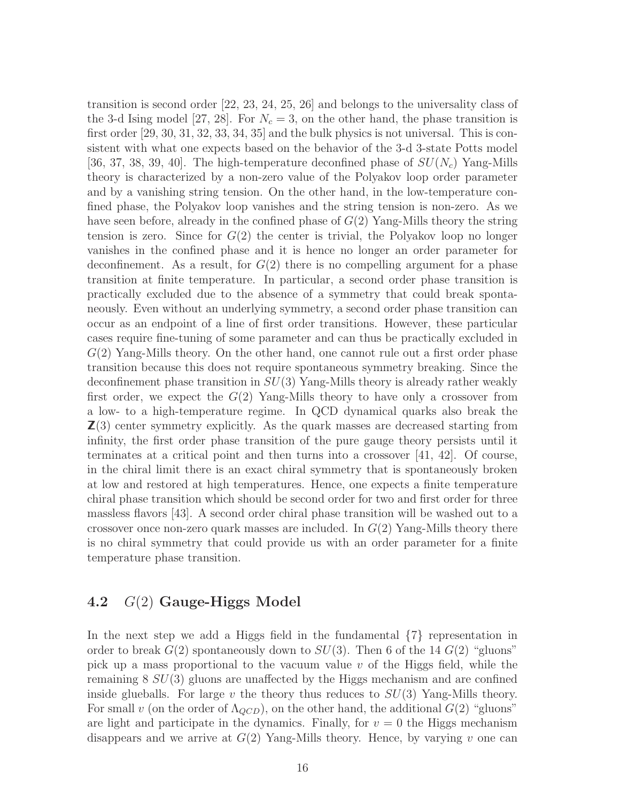transition is second order [22, 23, 24, 25, 26] and belongs to the universality class of the 3-d Ising model [27, 28]. For  $N_c = 3$ , on the other hand, the phase transition is first order [29, 30, 31, 32, 33, 34, 35] and the bulk physics is not universal. This is consistent with what one expects based on the behavior of the 3-d 3-state Potts model [36, 37, 38, 39, 40]. The high-temperature deconfined phase of  $SU(N_c)$  Yang-Mills theory is characterized by a non-zero value of the Polyakov loop order parameter and by a vanishing string tension. On the other hand, in the low-temperature confined phase, the Polyakov loop vanishes and the string tension is non-zero. As we have seen before, already in the confined phase of  $G(2)$  Yang-Mills theory the string tension is zero. Since for  $G(2)$  the center is trivial, the Polyakov loop no longer vanishes in the confined phase and it is hence no longer an order parameter for deconfinement. As a result, for  $G(2)$  there is no compelling argument for a phase transition at finite temperature. In particular, a second order phase transition is practically excluded due to the absence of a symmetry that could break spontaneously. Even without an underlying symmetry, a second order phase transition can occur as an endpoint of a line of first order transitions. However, these particular cases require fine-tuning of some parameter and can thus be practically excluded in G(2) Yang-Mills theory. On the other hand, one cannot rule out a first order phase transition because this does not require spontaneous symmetry breaking. Since the deconfinement phase transition in  $SU(3)$  Yang-Mills theory is already rather weakly first order, we expect the  $G(2)$  Yang-Mills theory to have only a crossover from a low- to a high-temperature regime. In QCD dynamical quarks also break the  $\mathbb{Z}(3)$  center symmetry explicitly. As the quark masses are decreased starting from infinity, the first order phase transition of the pure gauge theory persists until it terminates at a critical point and then turns into a crossover [41, 42]. Of course, in the chiral limit there is an exact chiral symmetry that is spontaneously broken at low and restored at high temperatures. Hence, one expects a finite temperature chiral phase transition which should be second order for two and first order for three massless flavors [43]. A second order chiral phase transition will be washed out to a crossover once non-zero quark masses are included. In  $G(2)$  Yang-Mills theory there is no chiral symmetry that could provide us with an order parameter for a finite temperature phase transition.

### 4.2 G(2) Gauge-Higgs Model

In the next step we add a Higgs field in the fundamental  $\{7\}$  representation in order to break  $G(2)$  spontaneously down to  $SU(3)$ . Then 6 of the 14  $G(2)$  "gluons" pick up a mass proportional to the vacuum value  $v$  of the Higgs field, while the remaining  $8\ SU(3)$  gluons are unaffected by the Higgs mechanism and are confined inside glueballs. For large  $v$  the theory thus reduces to  $SU(3)$  Yang-Mills theory. For small v (on the order of  $\Lambda_{QCD}$ ), on the other hand, the additional  $G(2)$  "gluons" are light and participate in the dynamics. Finally, for  $v = 0$  the Higgs mechanism disappears and we arrive at  $G(2)$  Yang-Mills theory. Hence, by varying v one can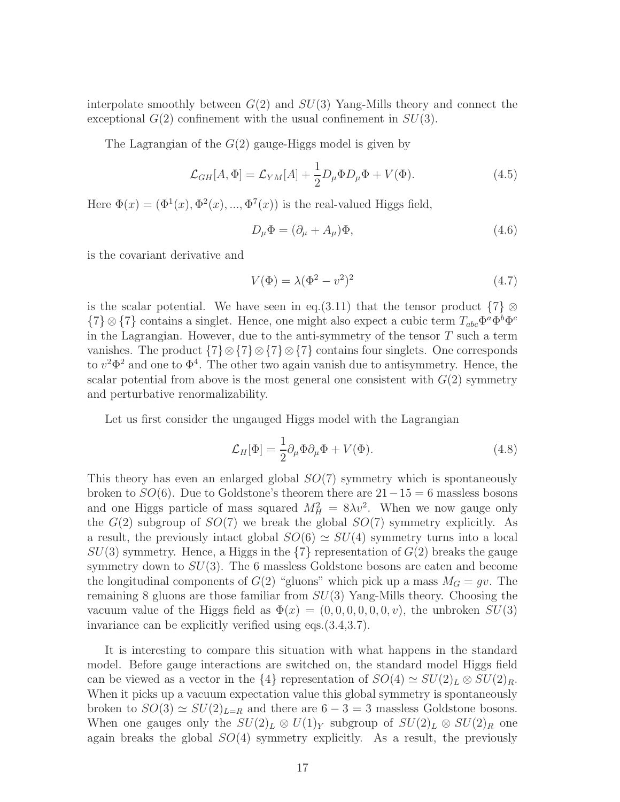interpolate smoothly between  $G(2)$  and  $SU(3)$  Yang-Mills theory and connect the exceptional  $G(2)$  confinement with the usual confinement in  $SU(3)$ .

The Lagrangian of the  $G(2)$  gauge-Higgs model is given by

$$
\mathcal{L}_{GH}[A,\Phi] = \mathcal{L}_{YM}[A] + \frac{1}{2}D_{\mu}\Phi D_{\mu}\Phi + V(\Phi). \tag{4.5}
$$

Here  $\Phi(x) = (\Phi^1(x), \Phi^2(x), ..., \Phi^7(x))$  is the real-valued Higgs field,

$$
D_{\mu}\Phi = (\partial_{\mu} + A_{\mu})\Phi, \tag{4.6}
$$

is the covariant derivative and

$$
V(\Phi) = \lambda (\Phi^2 - v^2)^2 \tag{4.7}
$$

is the scalar potential. We have seen in eq.(3.11) that the tensor product  $\{7\} \otimes$  ${7} \otimes {7}$  contains a singlet. Hence, one might also expect a cubic term  $T_{abc} \Phi^a \Phi^b \Phi^c$ in the Lagrangian. However, due to the anti-symmetry of the tensor  $T$  such a term vanishes. The product  $\{7\} \otimes \{7\} \otimes \{7\}$  contains four singlets. One corresponds to  $v^2 \Phi^2$  and one to  $\Phi^4$ . The other two again vanish due to antisymmetry. Hence, the scalar potential from above is the most general one consistent with  $G(2)$  symmetry and perturbative renormalizability.

Let us first consider the ungauged Higgs model with the Lagrangian

$$
\mathcal{L}_H[\Phi] = \frac{1}{2} \partial_\mu \Phi \partial_\mu \Phi + V(\Phi). \tag{4.8}
$$

This theory has even an enlarged global  $SO(7)$  symmetry which is spontaneously broken to  $SO(6)$ . Due to Goldstone's theorem there are  $21-15=6$  massless bosons and one Higgs particle of mass squared  $M_H^2 = 8\lambda v^2$ . When we now gauge only the  $G(2)$  subgroup of  $SO(7)$  we break the global  $SO(7)$  symmetry explicitly. As a result, the previously intact global  $SO(6) \simeq SU(4)$  symmetry turns into a local  $SU(3)$  symmetry. Hence, a Higgs in the  ${7}$  representation of  $G(2)$  breaks the gauge symmetry down to  $SU(3)$ . The 6 massless Goldstone bosons are eaten and become the longitudinal components of  $G(2)$  "gluons" which pick up a mass  $M_G = gv$ . The remaining 8 gluons are those familiar from  $SU(3)$  Yang-Mills theory. Choosing the vacuum value of the Higgs field as  $\Phi(x) = (0, 0, 0, 0, 0, 0, v)$ , the unbroken  $SU(3)$ invariance can be explicitly verified using eqs.(3.4,3.7).

It is interesting to compare this situation with what happens in the standard model. Before gauge interactions are switched on, the standard model Higgs field can be viewed as a vector in the  $\{4\}$  representation of  $SO(4) \simeq SU(2)_L \otimes SU(2)_R$ . When it picks up a vacuum expectation value this global symmetry is spontaneously broken to  $SO(3) \simeq SU(2)_{L=R}$  and there are  $6-3=3$  massless Goldstone bosons. When one gauges only the  $SU(2)_L \otimes U(1)_Y$  subgroup of  $SU(2)_L \otimes SU(2)_R$  one again breaks the global  $SO(4)$  symmetry explicitly. As a result, the previously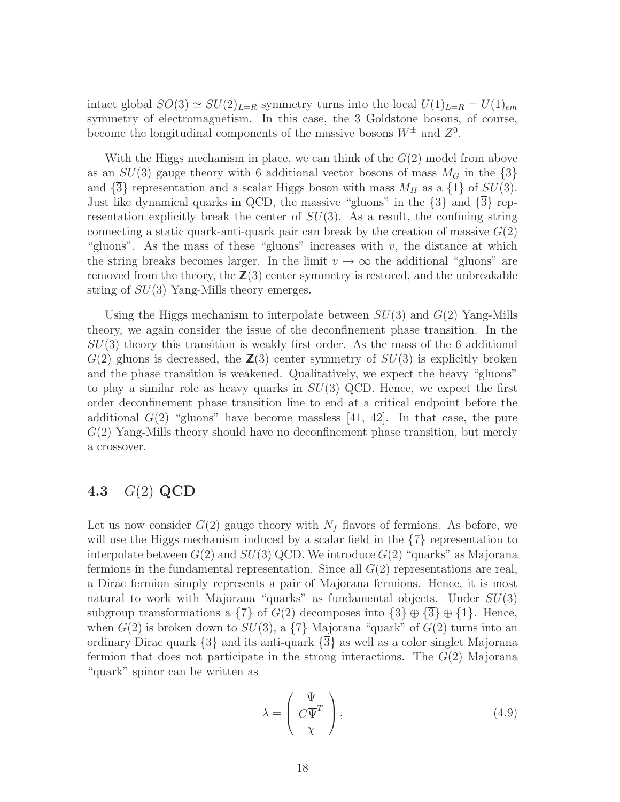intact global  $SO(3) \simeq SU(2)_{L=R}$  symmetry turns into the local  $U(1)_{L=R} = U(1)_{em}$ symmetry of electromagnetism. In this case, the 3 Goldstone bosons, of course, become the longitudinal components of the massive bosons  $W^{\pm}$  and  $Z^{0}$ .

With the Higgs mechanism in place, we can think of the  $G(2)$  model from above as an  $SU(3)$  gauge theory with 6 additional vector bosons of mass  $M<sub>G</sub>$  in the  $\{3\}$ and  $\{\overline{3}\}$  representation and a scalar Higgs boson with mass  $M_H$  as a  $\{1\}$  of  $SU(3)$ . Just like dynamical quarks in QCD, the massive "gluons" in the {3} and {3} representation explicitly break the center of  $SU(3)$ . As a result, the confining string connecting a static quark-anti-quark pair can break by the creation of massive  $G(2)$ "gluons". As the mass of these "gluons" increases with  $v$ , the distance at which the string breaks becomes larger. In the limit  $v \to \infty$  the additional "gluons" are removed from the theory, the  $\mathbb{Z}(3)$  center symmetry is restored, and the unbreakable string of  $SU(3)$  Yang-Mills theory emerges.

Using the Higgs mechanism to interpolate between  $SU(3)$  and  $G(2)$  Yang-Mills theory, we again consider the issue of the deconfinement phase transition. In the  $SU(3)$  theory this transition is weakly first order. As the mass of the 6 additional  $G(2)$  gluons is decreased, the  $\mathbb{Z}(3)$  center symmetry of  $SU(3)$  is explicitly broken and the phase transition is weakened. Qualitatively, we expect the heavy "gluons" to play a similar role as heavy quarks in  $SU(3)$  QCD. Hence, we expect the first order deconfinement phase transition line to end at a critical endpoint before the additional  $G(2)$  "gluons" have become massless [41, 42]. In that case, the pure G(2) Yang-Mills theory should have no deconfinement phase transition, but merely a crossover.

### 4.3 G(2) QCD

Let us now consider  $G(2)$  gauge theory with  $N_f$  flavors of fermions. As before, we will use the Higgs mechanism induced by a scalar field in the  $\{7\}$  representation to interpolate between  $G(2)$  and  $SU(3)$  QCD. We introduce  $G(2)$  "quarks" as Majorana fermions in the fundamental representation. Since all  $G(2)$  representations are real, a Dirac fermion simply represents a pair of Majorana fermions. Hence, it is most natural to work with Majorana "quarks" as fundamental objects. Under  $SU(3)$ subgroup transformations a  $\{7\}$  of  $G(2)$  decomposes into  $\{3\} \oplus \{3\} \oplus \{1\}$ . Hence, when  $G(2)$  is broken down to  $SU(3)$ , a  $\{7\}$  Majorana "quark" of  $G(2)$  turns into an ordinary Dirac quark {3} and its anti-quark {3} as well as a color singlet Majorana fermion that does not participate in the strong interactions. The  $G(2)$  Majorana "quark" spinor can be written as

$$
\lambda = \begin{pmatrix} \Psi \\ C\overline{\Psi}^T \\ \chi \end{pmatrix},
$$
\n(4.9)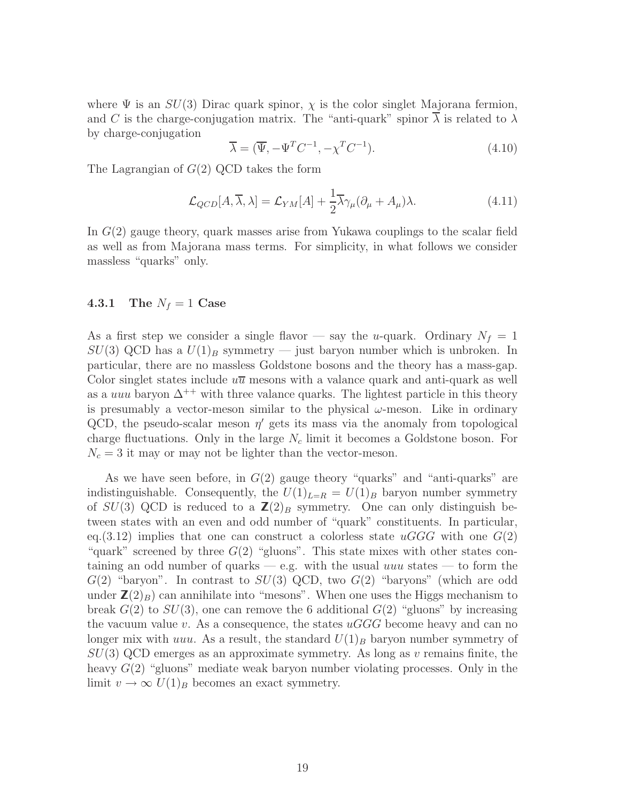where  $\Psi$  is an  $SU(3)$  Dirac quark spinor,  $\chi$  is the color singlet Majorana fermion, and C is the charge-conjugation matrix. The "anti-quark" spinor  $\lambda$  is related to  $\lambda$ by charge-conjugation

$$
\overline{\lambda} = (\overline{\Psi}, -\Psi^T C^{-1}, -\chi^T C^{-1}).
$$
\n(4.10)

The Lagrangian of  $G(2)$  QCD takes the form

$$
\mathcal{L}_{QCD}[A,\overline{\lambda},\lambda] = \mathcal{L}_{YM}[A] + \frac{1}{2}\overline{\lambda}\gamma_{\mu}(\partial_{\mu} + A_{\mu})\lambda.
$$
 (4.11)

In G(2) gauge theory, quark masses arise from Yukawa couplings to the scalar field as well as from Majorana mass terms. For simplicity, in what follows we consider massless "quarks" only.

#### **4.3.1** The  $N_f = 1$  Case

As a first step we consider a single flavor — say the u-quark. Ordinary  $N_f = 1$  $SU(3)$  QCD has a  $U(1)_B$  symmetry — just baryon number which is unbroken. In particular, there are no massless Goldstone bosons and the theory has a mass-gap. Color singlet states include  $u\overline{u}$  mesons with a valance quark and anti-quark as well as a *uuu* baryon  $\Delta^{++}$  with three valance quarks. The lightest particle in this theory is presumably a vector-meson similar to the physical  $\omega$ -meson. Like in ordinary QCD, the pseudo-scalar meson  $\eta'$  gets its mass via the anomaly from topological charge fluctuations. Only in the large  $N_c$  limit it becomes a Goldstone boson. For  $N_c = 3$  it may or may not be lighter than the vector-meson.

As we have seen before, in  $G(2)$  gauge theory "quarks" and "anti-quarks" are indistinguishable. Consequently, the  $U(1)_{L=R} = U(1)_B$  baryon number symmetry of  $SU(3)$  QCD is reduced to a  $\mathbb{Z}(2)_B$  symmetry. One can only distinguish between states with an even and odd number of "quark" constituents. In particular, eq.(3.12) implies that one can construct a colorless state  $uGGG$  with one  $G(2)$ "quark" screened by three  $G(2)$  "gluons". This state mixes with other states containing an odd number of quarks — e.g. with the usual  $uuu$  states — to form the  $G(2)$  "baryon". In contrast to  $SU(3)$  QCD, two  $G(2)$  "baryons" (which are odd under  $\mathbb{Z}(2)_B$  can annihilate into "mesons". When one uses the Higgs mechanism to break  $G(2)$  to  $SU(3)$ , one can remove the 6 additional  $G(2)$  "gluons" by increasing the vacuum value v. As a consequence, the states  $uGGG$  become heavy and can no longer mix with uuu. As a result, the standard  $U(1)_B$  baryon number symmetry of  $SU(3)$  QCD emerges as an approximate symmetry. As long as v remains finite, the heavy  $G(2)$  "gluons" mediate weak baryon number violating processes. Only in the limit  $v \to \infty$   $U(1)_B$  becomes an exact symmetry.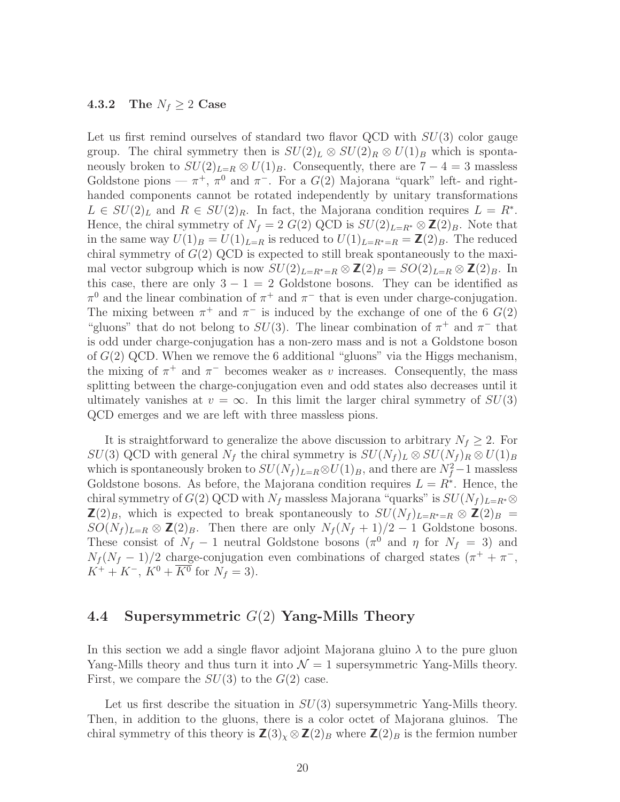#### 4.3.2 The  $N_f \geq 2$  Case

Let us first remind ourselves of standard two flavor QCD with  $SU(3)$  color gauge group. The chiral symmetry then is  $SU(2)_L \otimes SU(2)_R \otimes U(1)_B$  which is spontaneously broken to  $SU(2)_{L=R} \otimes U(1)_B$ . Consequently, there are  $7-4=3$  massless Goldstone pions —  $\pi^+$ ,  $\pi^0$  and  $\pi^-$ . For a  $G(2)$  Majorana "quark" left- and righthanded components cannot be rotated independently by unitary transformations  $L \in SU(2)_L$  and  $R \in SU(2)_R$ . In fact, the Majorana condition requires  $L = R^*$ . Hence, the chiral symmetry of  $N_f = 2 G(2) \text{ QCD}$  is  $SU(2)_{L=R^*} \otimes \mathbb{Z}(2)_B$ . Note that in the same way  $U(1)_B = U(1)_{L=R}$  is reduced to  $U(1)_{L=R^*=R} = \mathbb{Z}(2)_B$ . The reduced chiral symmetry of  $G(2)$  QCD is expected to still break spontaneously to the maximal vector subgroup which is now  $SU(2)_{L=R^*=R} \otimes \mathbb{Z}(2)_B = SO(2)_{L=R} \otimes \mathbb{Z}(2)_B$ . In this case, there are only  $3 - 1 = 2$  Goldstone bosons. They can be identified as  $\pi^0$  and the linear combination of  $\pi^+$  and  $\pi^-$  that is even under charge-conjugation. The mixing between  $\pi^+$  and  $\pi^-$  is induced by the exchange of one of the 6  $G(2)$ "gluons" that do not belong to  $SU(3)$ . The linear combination of  $\pi^+$  and  $\pi^-$  that is odd under charge-conjugation has a non-zero mass and is not a Goldstone boson of  $G(2)$  QCD. When we remove the 6 additional "gluons" via the Higgs mechanism, the mixing of  $\pi^+$  and  $\pi^-$  becomes weaker as v increases. Consequently, the mass splitting between the charge-conjugation even and odd states also decreases until it ultimately vanishes at  $v = \infty$ . In this limit the larger chiral symmetry of  $SU(3)$ QCD emerges and we are left with three massless pions.

It is straightforward to generalize the above discussion to arbitrary  $N_f \geq 2$ . For  $SU(3)$  QCD with general  $N_f$  the chiral symmetry is  $SU(N_f)_L \otimes SU(N_f)_R \otimes U(1)_B$ which is spontaneously broken to  $SU(N_f)_{L=R} \otimes U(1)_B$ , and there are  $N_f^2-1$  massless Goldstone bosons. As before, the Majorana condition requires  $L = R^*$ . Hence, the chiral symmetry of  $G(2)$  QCD with  $N_f$  massless Majorana "quarks" is  $SU(N_f)_{L=R^*}\otimes$  $\mathbf{Z}(2)_B$ , which is expected to break spontaneously to  $SU(N_f)_{L=R^*=R} \otimes \mathbf{Z}(2)_B =$  $SO(N_f)_{L=R} \otimes \mathbb{Z}(2)_B$ . Then there are only  $N_f(N_f+1)/2-1$  Goldstone bosons. These consist of  $N_f - 1$  neutral Goldstone bosons  $(\pi^0$  and  $\eta$  for  $N_f = 3$ ) and  $N_f (N_f - 1)/2$  charge-conjugation even combinations of charged states  $(\pi^+ + \pi^-$ ,  $K^+ + K^-$ ,  $K^0 + \overline{K^0}$  for  $N_f = 3$ ).

### 4.4 Supersymmetric  $G(2)$  Yang-Mills Theory

In this section we add a single flavor adjoint Majorana gluino  $\lambda$  to the pure gluon Yang-Mills theory and thus turn it into  $\mathcal{N} = 1$  supersymmetric Yang-Mills theory. First, we compare the  $SU(3)$  to the  $G(2)$  case.

Let us first describe the situation in  $SU(3)$  supersymmetric Yang-Mills theory. Then, in addition to the gluons, there is a color octet of Majorana gluinos. The chiral symmetry of this theory is  $\mathbb{Z}(3)_{\chi} \otimes \mathbb{Z}(2)_B$  where  $\mathbb{Z}(2)_B$  is the fermion number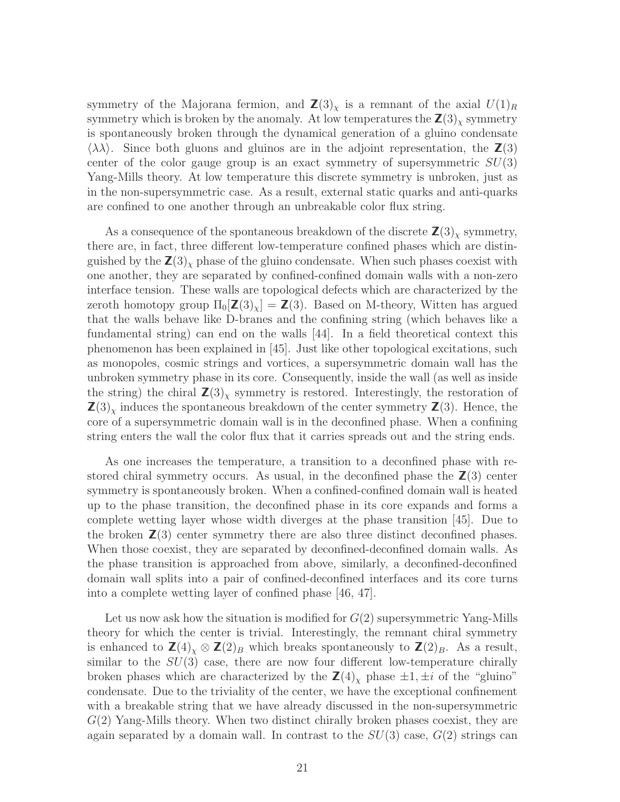symmetry of the Majorana fermion, and  $\mathbb{Z}(3)_{\chi}$  is a remnant of the axial  $U(1)_R$ symmetry which is broken by the anomaly. At low temperatures the  $\mathbb{Z}(3)_x$  symmetry is spontaneously broken through the dynamical generation of a gluino condensate  $\langle \lambda \lambda \rangle$ . Since both gluons and gluinos are in the adjoint representation, the  $\mathbb{Z}(3)$ center of the color gauge group is an exact symmetry of supersymmetric  $SU(3)$ Yang-Mills theory. At low temperature this discrete symmetry is unbroken, just as in the non-supersymmetric case. As a result, external static quarks and anti-quarks are confined to one another through an unbreakable color flux string.

As a consequence of the spontaneous breakdown of the discrete  $\mathbb{Z}(3)$ <sub>x</sub> symmetry, there are, in fact, three different low-temperature confined phases which are distinguished by the  $\mathbb{Z}(3)_{\chi}$  phase of the gluino condensate. When such phases coexist with one another, they are separated by confined-confined domain walls with a non-zero interface tension. These walls are topological defects which are characterized by the zeroth homotopy group  $\Pi_0[\mathbf{Z}(3)_x] = \mathbf{Z}(3)$ . Based on M-theory, Witten has argued that the walls behave like D-branes and the confining string (which behaves like a fundamental string) can end on the walls [44]. In a field theoretical context this phenomenon has been explained in [45]. Just like other topological excitations, such as monopoles, cosmic strings and vortices, a supersymmetric domain wall has the unbroken symmetry phase in its core. Consequently, inside the wall (as well as inside the string) the chiral  $\mathbb{Z}(3)_{\chi}$  symmetry is restored. Interestingly, the restoration of  $\mathbf{Z}(3)_{\chi}$  induces the spontaneous breakdown of the center symmetry  $\mathbf{Z}(3)$ . Hence, the core of a supersymmetric domain wall is in the deconfined phase. When a confining string enters the wall the color flux that it carries spreads out and the string ends.

As one increases the temperature, a transition to a deconfined phase with restored chiral symmetry occurs. As usual, in the deconfined phase the  $\mathsf{Z}(3)$  center symmetry is spontaneously broken. When a confined-confined domain wall is heated up to the phase transition, the deconfined phase in its core expands and forms a complete wetting layer whose width diverges at the phase transition [45]. Due to the broken  $\mathbb{Z}(3)$  center symmetry there are also three distinct deconfined phases. When those coexist, they are separated by deconfined-deconfined domain walls. As the phase transition is approached from above, similarly, a deconfined-deconfined domain wall splits into a pair of confined-deconfined interfaces and its core turns into a complete wetting layer of confined phase [46, 47].

Let us now ask how the situation is modified for  $G(2)$  supersymmetric Yang-Mills theory for which the center is trivial. Interestingly, the remnant chiral symmetry is enhanced to  $\mathbb{Z}(4)_{\chi} \otimes \mathbb{Z}(2)_{B}$  which breaks spontaneously to  $\mathbb{Z}(2)_{B}$ . As a result, similar to the  $SU(3)$  case, there are now four different low-temperature chirally broken phases which are characterized by the  $\mathbb{Z}(4)_{\chi}$  phase  $\pm 1, \pm i$  of the "gluino" condensate. Due to the triviality of the center, we have the exceptional confinement with a breakable string that we have already discussed in the non-supersymmetric  $G(2)$  Yang-Mills theory. When two distinct chirally broken phases coexist, they are again separated by a domain wall. In contrast to the  $SU(3)$  case,  $G(2)$  strings can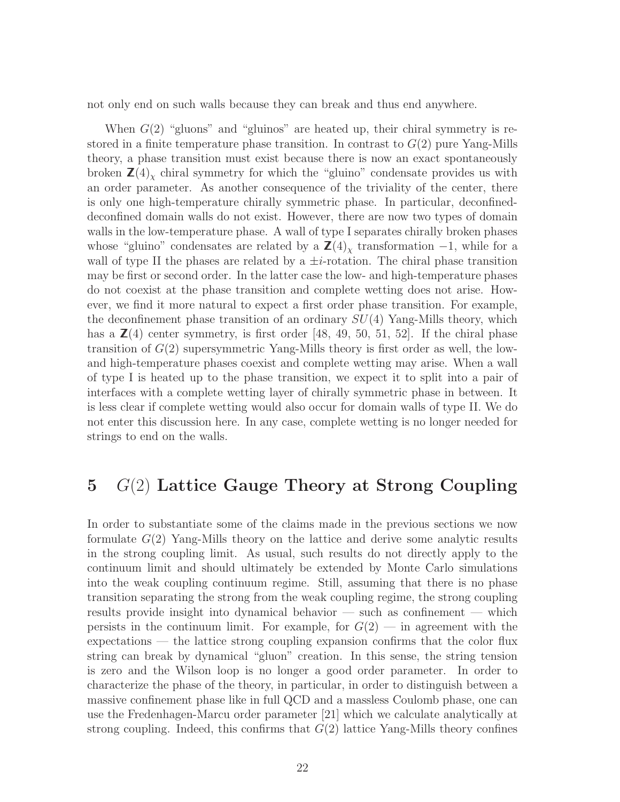not only end on such walls because they can break and thus end anywhere.

When  $G(2)$  "gluons" and "gluinos" are heated up, their chiral symmetry is restored in a finite temperature phase transition. In contrast to  $G(2)$  pure Yang-Mills theory, a phase transition must exist because there is now an exact spontaneously broken  $\mathsf{Z}(4)$ <sub>x</sub> chiral symmetry for which the "gluino" condensate provides us with an order parameter. As another consequence of the triviality of the center, there is only one high-temperature chirally symmetric phase. In particular, deconfineddeconfined domain walls do not exist. However, there are now two types of domain walls in the low-temperature phase. A wall of type I separates chirally broken phases whose "gluino" condensates are related by a  $\mathbb{Z}(4)$ <sub>x</sub> transformation -1, while for a wall of type II the phases are related by a  $\pm i$ -rotation. The chiral phase transition may be first or second order. In the latter case the low- and high-temperature phases do not coexist at the phase transition and complete wetting does not arise. However, we find it more natural to expect a first order phase transition. For example, the deconfinement phase transition of an ordinary  $SU(4)$  Yang-Mills theory, which has a  $\mathbb{Z}(4)$  center symmetry, is first order [48, 49, 50, 51, 52]. If the chiral phase transition of  $G(2)$  supersymmetric Yang-Mills theory is first order as well, the lowand high-temperature phases coexist and complete wetting may arise. When a wall of type I is heated up to the phase transition, we expect it to split into a pair of interfaces with a complete wetting layer of chirally symmetric phase in between. It is less clear if complete wetting would also occur for domain walls of type II. We do not enter this discussion here. In any case, complete wetting is no longer needed for strings to end on the walls.

## 5  $G(2)$  Lattice Gauge Theory at Strong Coupling

In order to substantiate some of the claims made in the previous sections we now formulate  $G(2)$  Yang-Mills theory on the lattice and derive some analytic results in the strong coupling limit. As usual, such results do not directly apply to the continuum limit and should ultimately be extended by Monte Carlo simulations into the weak coupling continuum regime. Still, assuming that there is no phase transition separating the strong from the weak coupling regime, the strong coupling results provide insight into dynamical behavior — such as confinement — which persists in the continuum limit. For example, for  $G(2)$  — in agreement with the expectations — the lattice strong coupling expansion confirms that the color flux string can break by dynamical "gluon" creation. In this sense, the string tension is zero and the Wilson loop is no longer a good order parameter. In order to characterize the phase of the theory, in particular, in order to distinguish between a massive confinement phase like in full QCD and a massless Coulomb phase, one can use the Fredenhagen-Marcu order parameter [21] which we calculate analytically at strong coupling. Indeed, this confirms that  $G(2)$  lattice Yang-Mills theory confines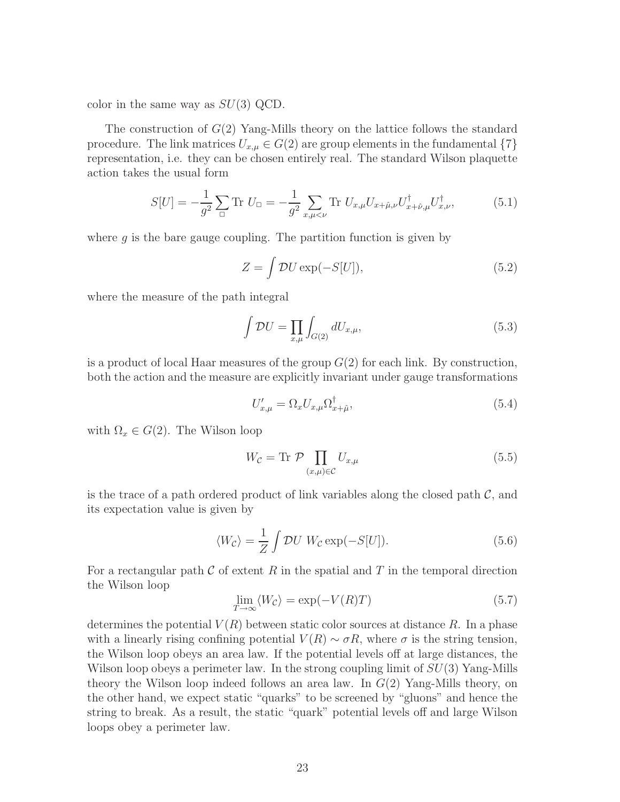color in the same way as  $SU(3)$  QCD.

The construction of  $G(2)$  Yang-Mills theory on the lattice follows the standard procedure. The link matrices  $U_{x,\mu} \in G(2)$  are group elements in the fundamental  $\{7\}$ representation, i.e. they can be chosen entirely real. The standard Wilson plaquette action takes the usual form

$$
S[U] = -\frac{1}{g^2} \sum_{\Box} \text{Tr } U_{\Box} = -\frac{1}{g^2} \sum_{x,\mu < \nu} \text{Tr } U_{x,\mu} U_{x+\hat{\mu},\nu} U_{x+\hat{\nu},\mu}^{\dagger} U_{x,\nu}^{\dagger}, \tag{5.1}
$$

where  $q$  is the bare gauge coupling. The partition function is given by

$$
Z = \int \mathcal{D}U \exp(-S[U]),\tag{5.2}
$$

where the measure of the path integral

$$
\int \mathcal{D}U = \prod_{x,\mu} \int_{G(2)} dU_{x,\mu},\tag{5.3}
$$

is a product of local Haar measures of the group  $G(2)$  for each link. By construction, both the action and the measure are explicitly invariant under gauge transformations

$$
U'_{x,\mu} = \Omega_x U_{x,\mu} \Omega_{x+\hat{\mu}}^{\dagger},\tag{5.4}
$$

with  $\Omega_x \in G(2)$ . The Wilson loop

$$
W_{\mathcal{C}} = \text{Tr } \mathcal{P} \prod_{(x,\mu)\in\mathcal{C}} U_{x,\mu} \tag{5.5}
$$

is the trace of a path ordered product of link variables along the closed path  $\mathcal{C}$ , and its expectation value is given by

$$
\langle W_{\mathcal{C}} \rangle = \frac{1}{Z} \int \mathcal{D}U \ W_{\mathcal{C}} \exp(-S[U]). \tag{5.6}
$$

For a rectangular path  $\mathcal C$  of extent  $R$  in the spatial and  $T$  in the temporal direction the Wilson loop

$$
\lim_{T \to \infty} \langle W_{\mathcal{C}} \rangle = \exp(-V(R)T) \tag{5.7}
$$

determines the potential  $V(R)$  between static color sources at distance R. In a phase with a linearly rising confining potential  $V(R) \sim \sigma R$ , where  $\sigma$  is the string tension, the Wilson loop obeys an area law. If the potential levels off at large distances, the Wilson loop obeys a perimeter law. In the strong coupling limit of  $SU(3)$  Yang-Mills theory the Wilson loop indeed follows an area law. In  $G(2)$  Yang-Mills theory, on the other hand, we expect static "quarks" to be screened by "gluons" and hence the string to break. As a result, the static "quark" potential levels off and large Wilson loops obey a perimeter law.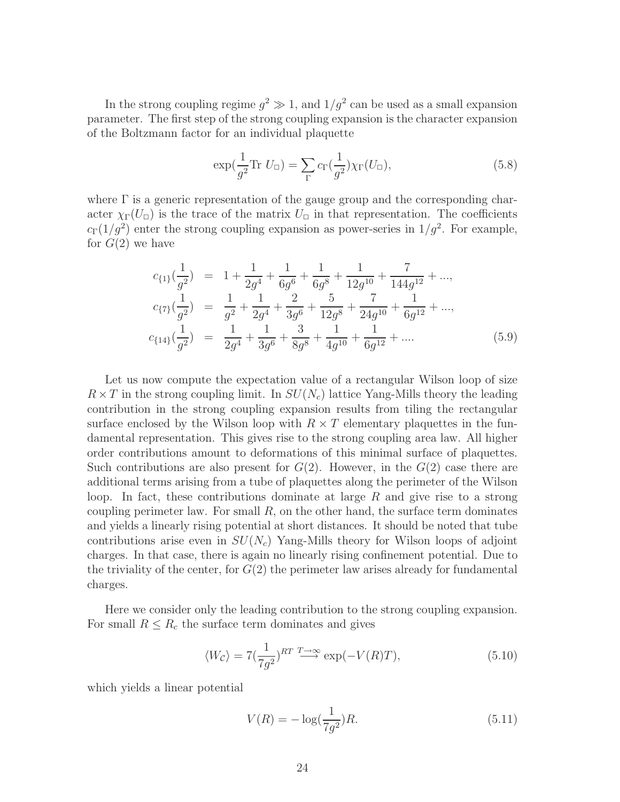In the strong coupling regime  $g^2 \gg 1$ , and  $1/g^2$  can be used as a small expansion parameter. The first step of the strong coupling expansion is the character expansion of the Boltzmann factor for an individual plaquette

$$
\exp\left(\frac{1}{g^2}\text{Tr } U_{\square}\right) = \sum_{\Gamma} c_{\Gamma}\left(\frac{1}{g^2}\right) \chi_{\Gamma}(U_{\square}),\tag{5.8}
$$

where  $\Gamma$  is a generic representation of the gauge group and the corresponding character  $\chi_{\Gamma}(U_{\Box})$  is the trace of the matrix  $U_{\Box}$  in that representation. The coefficients  $c_{\Gamma}(1/g^2)$  enter the strong coupling expansion as power-series in  $1/g^2$ . For example, for  $G(2)$  we have

$$
c_{\{1\}}\left(\frac{1}{g^2}\right) = 1 + \frac{1}{2g^4} + \frac{1}{6g^6} + \frac{1}{6g^8} + \frac{1}{12g^{10}} + \frac{7}{144g^{12}} + ...,
$$
  
\n
$$
c_{\{7\}}\left(\frac{1}{g^2}\right) = \frac{1}{g^2} + \frac{1}{2g^4} + \frac{2}{3g^6} + \frac{5}{12g^8} + \frac{7}{24g^{10}} + \frac{1}{6g^{12}} + ...,
$$
  
\n
$$
c_{\{14\}}\left(\frac{1}{g^2}\right) = \frac{1}{2g^4} + \frac{1}{3g^6} + \frac{3}{8g^8} + \frac{1}{4g^{10}} + \frac{1}{6g^{12}} + ....
$$
\n(5.9)

Let us now compute the expectation value of a rectangular Wilson loop of size  $R \times T$  in the strong coupling limit. In  $SU(N_c)$  lattice Yang-Mills theory the leading contribution in the strong coupling expansion results from tiling the rectangular surface enclosed by the Wilson loop with  $R \times T$  elementary plaquettes in the fundamental representation. This gives rise to the strong coupling area law. All higher order contributions amount to deformations of this minimal surface of plaquettes. Such contributions are also present for  $G(2)$ . However, in the  $G(2)$  case there are additional terms arising from a tube of plaquettes along the perimeter of the Wilson loop. In fact, these contributions dominate at large  $R$  and give rise to a strong coupling perimeter law. For small  $R$ , on the other hand, the surface term dominates and yields a linearly rising potential at short distances. It should be noted that tube contributions arise even in  $SU(N_c)$  Yang-Mills theory for Wilson loops of adjoint charges. In that case, there is again no linearly rising confinement potential. Due to the triviality of the center, for  $G(2)$  the perimeter law arises already for fundamental charges.

Here we consider only the leading contribution to the strong coupling expansion. For small  $R \leq R_c$  the surface term dominates and gives

$$
\langle W_{\mathcal{C}} \rangle = 7 \left( \frac{1}{7g^2} \right)^{RT} \xrightarrow{T \to \infty} \exp(-V(R)T),\tag{5.10}
$$

which yields a linear potential

$$
V(R) = -\log(\frac{1}{7g^2})R.
$$
\n(5.11)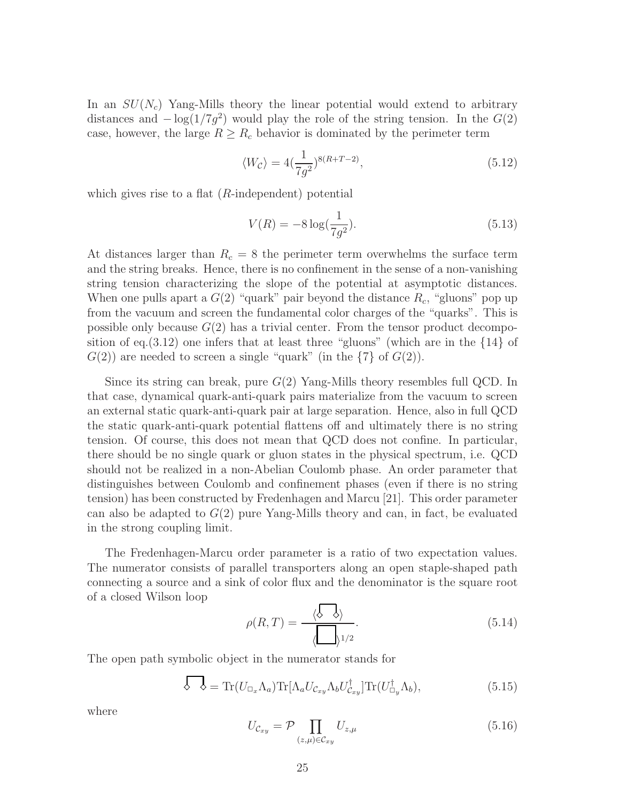In an  $SU(N_c)$  Yang-Mills theory the linear potential would extend to arbitrary distances and  $-\log(1/7g^2)$  would play the role of the string tension. In the  $G(2)$ case, however, the large  $R \ge R_c$  behavior is dominated by the perimeter term

$$
\langle W_{\mathcal{C}} \rangle = 4 \left( \frac{1}{7g^2} \right)^{8(R+T-2)},\tag{5.12}
$$

which gives rise to a flat  $(R$ -independent) potential

$$
V(R) = -8\log(\frac{1}{7g^2}).
$$
\n(5.13)

At distances larger than  $R_c = 8$  the perimeter term overwhelms the surface term and the string breaks. Hence, there is no confinement in the sense of a non-vanishing string tension characterizing the slope of the potential at asymptotic distances. When one pulls apart a  $G(2)$  "quark" pair beyond the distance  $R_c$ , "gluons" pop up from the vacuum and screen the fundamental color charges of the "quarks". This is possible only because  $G(2)$  has a trivial center. From the tensor product decomposition of eq.  $(3.12)$  one infers that at least three "gluons" (which are in the  $\{14\}$  of  $G(2)$  are needed to screen a single "quark" (in the  $\{7\}$  of  $G(2)$ ).

Since its string can break, pure  $G(2)$  Yang-Mills theory resembles full QCD. In that case, dynamical quark-anti-quark pairs materialize from the vacuum to screen an external static quark-anti-quark pair at large separation. Hence, also in full QCD the static quark-anti-quark potential flattens off and ultimately there is no string tension. Of course, this does not mean that QCD does not confine. In particular, there should be no single quark or gluon states in the physical spectrum, i.e. QCD should not be realized in a non-Abelian Coulomb phase. An order parameter that distinguishes between Coulomb and confinement phases (even if there is no string tension) has been constructed by Fredenhagen and Marcu [21]. This order parameter can also be adapted to  $G(2)$  pure Yang-Mills theory and can, in fact, be evaluated in the strong coupling limit.

The Fredenhagen-Marcu order parameter is a ratio of two expectation values. The numerator consists of parallel transporters along an open staple-shaped path connecting a source and a sink of color flux and the denominator is the square root of a closed Wilson loop

$$
\rho(R,T) = \frac{\langle \phi \quad \phi \rangle}{\langle \boxed{\rangle^{1/2}}}.
$$
\n(5.14)

The open path symbolic object in the numerator stands for

$$
\oint \oint = \text{Tr}(U_{\Box_x} \Lambda_a) \text{Tr}[\Lambda_a U_{\mathcal{C}_{xy}} \Lambda_b U_{\mathcal{C}_{xy}}^\dagger] \text{Tr}(U_{\Box_y}^\dagger \Lambda_b), \tag{5.15}
$$

where

$$
U_{\mathcal{C}_{xy}} = \mathcal{P} \prod_{(z,\mu)\in\mathcal{C}_{xy}} U_{z,\mu} \tag{5.16}
$$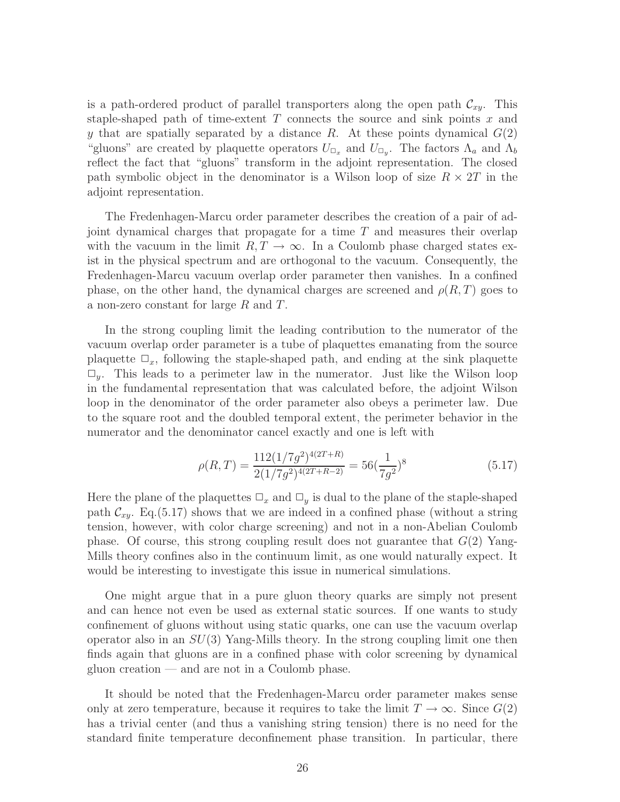is a path-ordered product of parallel transporters along the open path  $\mathcal{C}_{xy}$ . This staple-shaped path of time-extent  $T$  connects the source and sink points  $x$  and y that are spatially separated by a distance R. At these points dynamical  $G(2)$ "gluons" are created by plaquette operators  $U_{\Box_x}$  and  $U_{\Box_y}$ . The factors  $\Lambda_a$  and  $\Lambda_b$ reflect the fact that "gluons" transform in the adjoint representation. The closed path symbolic object in the denominator is a Wilson loop of size  $R \times 2T$  in the adjoint representation.

The Fredenhagen-Marcu order parameter describes the creation of a pair of adjoint dynamical charges that propagate for a time T and measures their overlap with the vacuum in the limit  $R, T \to \infty$ . In a Coulomb phase charged states exist in the physical spectrum and are orthogonal to the vacuum. Consequently, the Fredenhagen-Marcu vacuum overlap order parameter then vanishes. In a confined phase, on the other hand, the dynamical charges are screened and  $\rho(R,T)$  goes to a non-zero constant for large R and T.

In the strong coupling limit the leading contribution to the numerator of the vacuum overlap order parameter is a tube of plaquettes emanating from the source plaquette  $\Box_x$ , following the staple-shaped path, and ending at the sink plaquette  $\Box_{y}$ . This leads to a perimeter law in the numerator. Just like the Wilson loop in the fundamental representation that was calculated before, the adjoint Wilson loop in the denominator of the order parameter also obeys a perimeter law. Due to the square root and the doubled temporal extent, the perimeter behavior in the numerator and the denominator cancel exactly and one is left with

$$
\rho(R,T) = \frac{112(1/7g^2)^{4(2T+R)}}{2(1/7g^2)^{4(2T+R-2)}} = 56(\frac{1}{7g^2})^8
$$
\n(5.17)

Here the plane of the plaquettes  $\Box_x$  and  $\Box_y$  is dual to the plane of the staple-shaped path  $\mathcal{C}_{xy}$ . Eq.(5.17) shows that we are indeed in a confined phase (without a string tension, however, with color charge screening) and not in a non-Abelian Coulomb phase. Of course, this strong coupling result does not guarantee that  $G(2)$  Yang-Mills theory confines also in the continuum limit, as one would naturally expect. It would be interesting to investigate this issue in numerical simulations.

One might argue that in a pure gluon theory quarks are simply not present and can hence not even be used as external static sources. If one wants to study confinement of gluons without using static quarks, one can use the vacuum overlap operator also in an  $SU(3)$  Yang-Mills theory. In the strong coupling limit one then finds again that gluons are in a confined phase with color screening by dynamical gluon creation — and are not in a Coulomb phase.

It should be noted that the Fredenhagen-Marcu order parameter makes sense only at zero temperature, because it requires to take the limit  $T \to \infty$ . Since  $G(2)$ has a trivial center (and thus a vanishing string tension) there is no need for the standard finite temperature deconfinement phase transition. In particular, there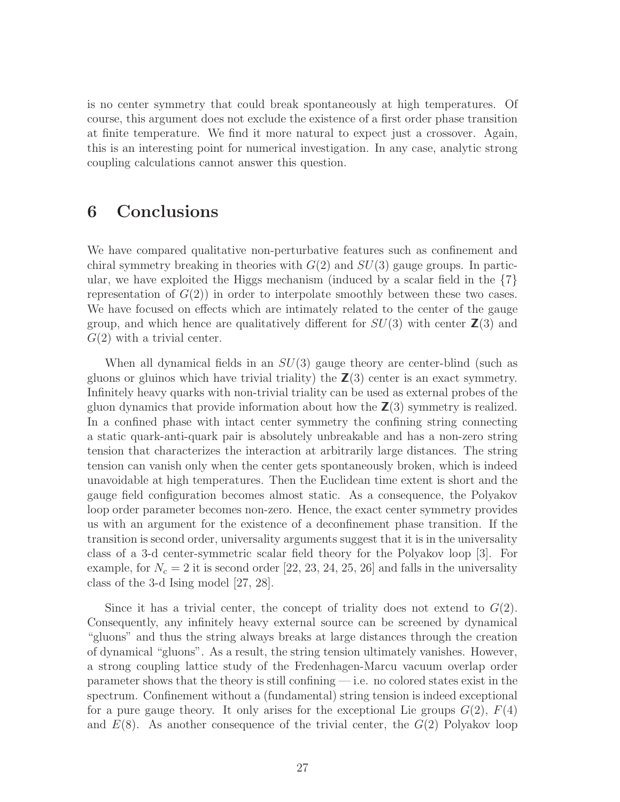is no center symmetry that could break spontaneously at high temperatures. Of course, this argument does not exclude the existence of a first order phase transition at finite temperature. We find it more natural to expect just a crossover. Again, this is an interesting point for numerical investigation. In any case, analytic strong coupling calculations cannot answer this question.

### 6 Conclusions

We have compared qualitative non-perturbative features such as confinement and chiral symmetry breaking in theories with  $G(2)$  and  $SU(3)$  gauge groups. In particular, we have exploited the Higgs mechanism (induced by a scalar field in the  ${7}$ ) representation of  $G(2)$  in order to interpolate smoothly between these two cases. We have focused on effects which are intimately related to the center of the gauge group, and which hence are qualitatively different for  $SU(3)$  with center  $\mathbb{Z}(3)$  and  $G(2)$  with a trivial center.

When all dynamical fields in an  $SU(3)$  gauge theory are center-blind (such as gluons or gluinos which have trivial triality) the  $\mathbb{Z}(3)$  center is an exact symmetry. Infinitely heavy quarks with non-trivial triality can be used as external probes of the gluon dynamics that provide information about how the  $\mathbb{Z}(3)$  symmetry is realized. In a confined phase with intact center symmetry the confining string connecting a static quark-anti-quark pair is absolutely unbreakable and has a non-zero string tension that characterizes the interaction at arbitrarily large distances. The string tension can vanish only when the center gets spontaneously broken, which is indeed unavoidable at high temperatures. Then the Euclidean time extent is short and the gauge field configuration becomes almost static. As a consequence, the Polyakov loop order parameter becomes non-zero. Hence, the exact center symmetry provides us with an argument for the existence of a deconfinement phase transition. If the transition is second order, universality arguments suggest that it is in the universality class of a 3-d center-symmetric scalar field theory for the Polyakov loop [3]. For example, for  $N_c = 2$  it is second order [22, 23, 24, 25, 26] and falls in the universality class of the 3-d Ising model [27, 28].

Since it has a trivial center, the concept of triality does not extend to  $G(2)$ . Consequently, any infinitely heavy external source can be screened by dynamical "gluons" and thus the string always breaks at large distances through the creation of dynamical "gluons". As a result, the string tension ultimately vanishes. However, a strong coupling lattice study of the Fredenhagen-Marcu vacuum overlap order parameter shows that the theory is still confining — i.e. no colored states exist in the spectrum. Confinement without a (fundamental) string tension is indeed exceptional for a pure gauge theory. It only arises for the exceptional Lie groups  $G(2)$ ,  $F(4)$ and  $E(8)$ . As another consequence of the trivial center, the  $G(2)$  Polyakov loop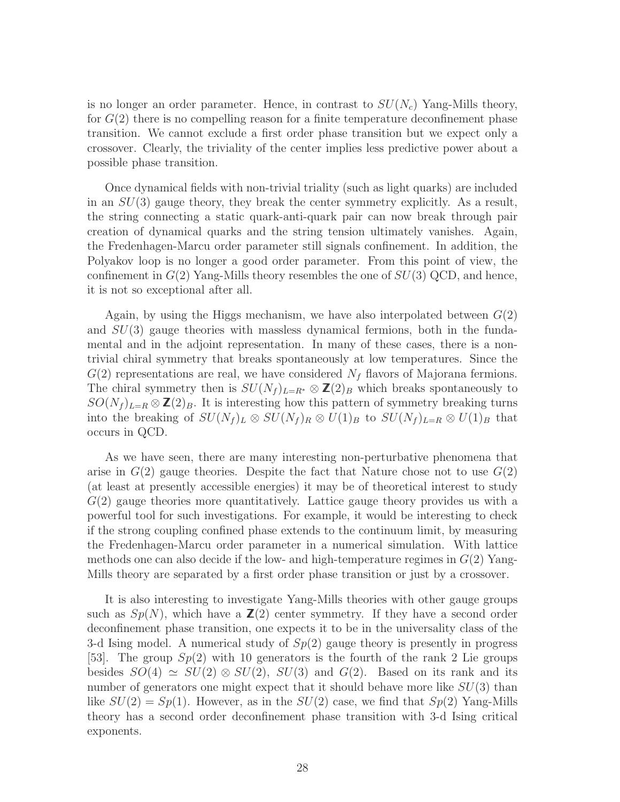is no longer an order parameter. Hence, in contrast to  $SU(N_c)$  Yang-Mills theory, for  $G(2)$  there is no compelling reason for a finite temperature deconfinement phase transition. We cannot exclude a first order phase transition but we expect only a crossover. Clearly, the triviality of the center implies less predictive power about a possible phase transition.

Once dynamical fields with non-trivial triality (such as light quarks) are included in an  $SU(3)$  gauge theory, they break the center symmetry explicitly. As a result, the string connecting a static quark-anti-quark pair can now break through pair creation of dynamical quarks and the string tension ultimately vanishes. Again, the Fredenhagen-Marcu order parameter still signals confinement. In addition, the Polyakov loop is no longer a good order parameter. From this point of view, the confinement in  $G(2)$  Yang-Mills theory resembles the one of  $SU(3)$  QCD, and hence, it is not so exceptional after all.

Again, by using the Higgs mechanism, we have also interpolated between  $G(2)$ and  $SU(3)$  gauge theories with massless dynamical fermions, both in the fundamental and in the adjoint representation. In many of these cases, there is a nontrivial chiral symmetry that breaks spontaneously at low temperatures. Since the  $G(2)$  representations are real, we have considered  $N_f$  flavors of Majorana fermions. The chiral symmetry then is  $SU(N_f)_{L=R^*} \otimes \mathbb{Z}(2)_B$  which breaks spontaneously to  $SO(N_f)_{L=R} \otimes \mathbb{Z}(2)_B$ . It is interesting how this pattern of symmetry breaking turns into the breaking of  $SU(N_f)_L \otimes SU(N_f)_R \otimes U(1)_B$  to  $SU(N_f)_{L=R} \otimes U(1)_B$  that occurs in QCD.

As we have seen, there are many interesting non-perturbative phenomena that arise in  $G(2)$  gauge theories. Despite the fact that Nature chose not to use  $G(2)$ (at least at presently accessible energies) it may be of theoretical interest to study  $G(2)$  gauge theories more quantitatively. Lattice gauge theory provides us with a powerful tool for such investigations. For example, it would be interesting to check if the strong coupling confined phase extends to the continuum limit, by measuring the Fredenhagen-Marcu order parameter in a numerical simulation. With lattice methods one can also decide if the low- and high-temperature regimes in  $G(2)$  Yang-Mills theory are separated by a first order phase transition or just by a crossover.

It is also interesting to investigate Yang-Mills theories with other gauge groups such as  $Sp(N)$ , which have a  $\mathbb{Z}(2)$  center symmetry. If they have a second order deconfinement phase transition, one expects it to be in the universality class of the 3-d Ising model. A numerical study of  $Sp(2)$  gauge theory is presently in progress [53]. The group  $Sp(2)$  with 10 generators is the fourth of the rank 2 Lie groups besides  $SO(4) \simeq SU(2) \otimes SU(2)$ ,  $SU(3)$  and  $G(2)$ . Based on its rank and its number of generators one might expect that it should behave more like  $SU(3)$  than like  $SU(2) = Sp(1)$ . However, as in the  $SU(2)$  case, we find that  $Sp(2)$  Yang-Mills theory has a second order deconfinement phase transition with 3-d Ising critical exponents.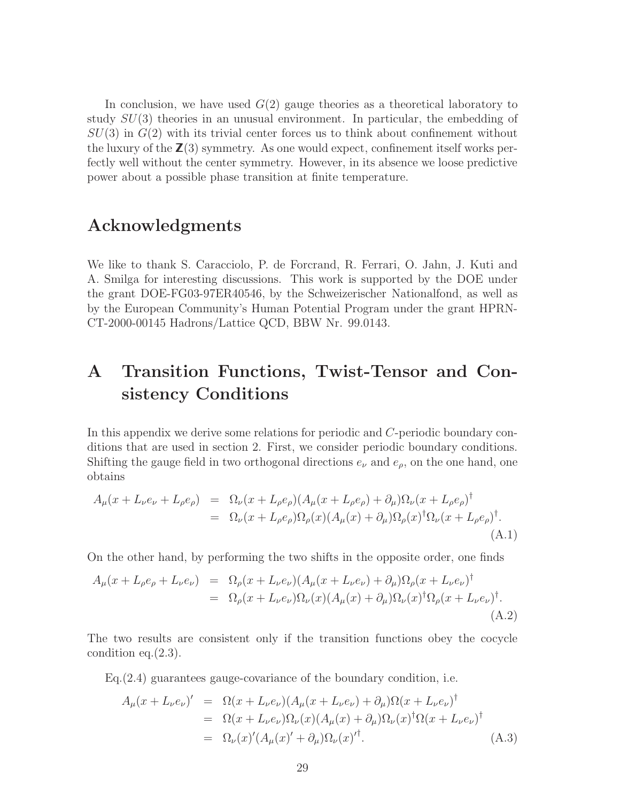In conclusion, we have used  $G(2)$  gauge theories as a theoretical laboratory to study  $SU(3)$  theories in an unusual environment. In particular, the embedding of  $SU(3)$  in  $G(2)$  with its trivial center forces us to think about confinement without the luxury of the  $\mathbb{Z}(3)$  symmetry. As one would expect, confinement itself works perfectly well without the center symmetry. However, in its absence we loose predictive power about a possible phase transition at finite temperature.

## Acknowledgments

We like to thank S. Caracciolo, P. de Forcrand, R. Ferrari, O. Jahn, J. Kuti and A. Smilga for interesting discussions. This work is supported by the DOE under the grant DOE-FG03-97ER40546, by the Schweizerischer Nationalfond, as well as by the European Community's Human Potential Program under the grant HPRN-CT-2000-00145 Hadrons/Lattice QCD, BBW Nr. 99.0143.

# A Transition Functions, Twist-Tensor and Consistency Conditions

In this appendix we derive some relations for periodic and C-periodic boundary conditions that are used in section 2. First, we consider periodic boundary conditions. Shifting the gauge field in two orthogonal directions  $e_{\nu}$  and  $e_{\rho}$ , on the one hand, one obtains

$$
A_{\mu}(x + L_{\nu}e_{\nu} + L_{\rho}e_{\rho}) = \Omega_{\nu}(x + L_{\rho}e_{\rho})(A_{\mu}(x + L_{\rho}e_{\rho}) + \partial_{\mu})\Omega_{\nu}(x + L_{\rho}e_{\rho})^{\dagger}
$$
  

$$
= \Omega_{\nu}(x + L_{\rho}e_{\rho})\Omega_{\rho}(x)(A_{\mu}(x) + \partial_{\mu})\Omega_{\rho}(x)^{\dagger}\Omega_{\nu}(x + L_{\rho}e_{\rho})^{\dagger}.
$$
(A.1)

On the other hand, by performing the two shifts in the opposite order, one finds

$$
A_{\mu}(x + L_{\rho}e_{\rho} + L_{\nu}e_{\nu}) = \Omega_{\rho}(x + L_{\nu}e_{\nu})(A_{\mu}(x + L_{\nu}e_{\nu}) + \partial_{\mu})\Omega_{\rho}(x + L_{\nu}e_{\nu})^{\dagger}
$$
  

$$
= \Omega_{\rho}(x + L_{\nu}e_{\nu})\Omega_{\nu}(x)(A_{\mu}(x) + \partial_{\mu})\Omega_{\nu}(x)^{\dagger}\Omega_{\rho}(x + L_{\nu}e_{\nu})^{\dagger}.
$$
(A.2)

The two results are consistent only if the transition functions obey the cocycle condition eq.(2.3).

Eq.(2.4) guarantees gauge-covariance of the boundary condition, i.e.

$$
A_{\mu}(x + L_{\nu}e_{\nu})' = \Omega(x + L_{\nu}e_{\nu})(A_{\mu}(x + L_{\nu}e_{\nu}) + \partial_{\mu})\Omega(x + L_{\nu}e_{\nu})^{\dagger}
$$
  
\n
$$
= \Omega(x + L_{\nu}e_{\nu})\Omega_{\nu}(x)(A_{\mu}(x) + \partial_{\mu})\Omega_{\nu}(x)^{\dagger}\Omega(x + L_{\nu}e_{\nu})^{\dagger}
$$
  
\n
$$
= \Omega_{\nu}(x)'(A_{\mu}(x)' + \partial_{\mu})\Omega_{\nu}(x)^{\dagger}.
$$
 (A.3)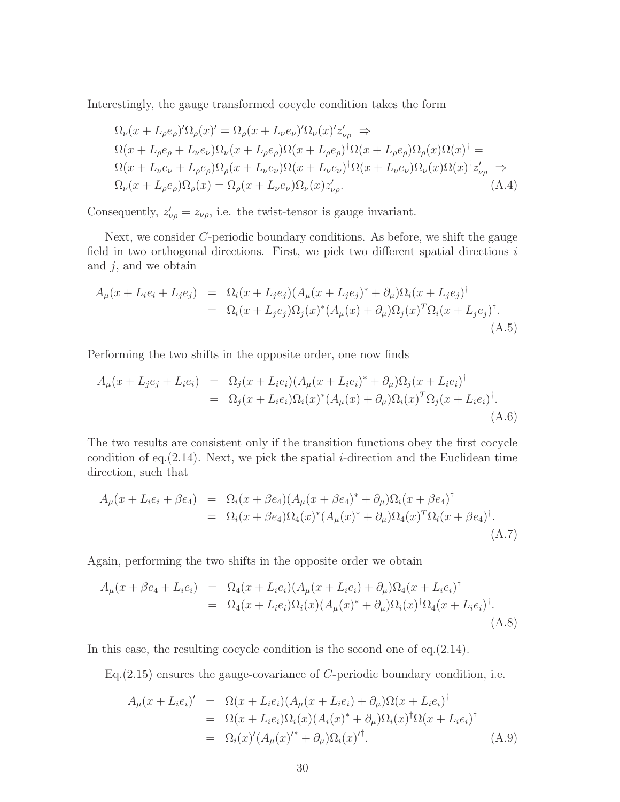Interestingly, the gauge transformed cocycle condition takes the form

$$
\Omega_{\nu}(x + L_{\rho}e_{\rho})'\Omega_{\rho}(x)' = \Omega_{\rho}(x + L_{\nu}e_{\nu})'\Omega_{\nu}(x)'z'_{\nu\rho} \Rightarrow
$$
\n
$$
\Omega(x + L_{\rho}e_{\rho} + L_{\nu}e_{\nu})\Omega_{\nu}(x + L_{\rho}e_{\rho})\Omega(x + L_{\rho}e_{\rho})^{\dagger}\Omega(x + L_{\rho}e_{\rho})\Omega_{\rho}(x)\Omega(x)^{\dagger} =
$$
\n
$$
\Omega(x + L_{\nu}e_{\nu} + L_{\rho}e_{\rho})\Omega_{\rho}(x + L_{\nu}e_{\nu})\Omega(x + L_{\nu}e_{\nu})^{\dagger}\Omega(x + L_{\nu}e_{\nu})\Omega_{\nu}(x)\Omega(x)^{\dagger}z'_{\nu\rho} \Rightarrow
$$
\n
$$
\Omega_{\nu}(x + L_{\rho}e_{\rho})\Omega_{\rho}(x) = \Omega_{\rho}(x + L_{\nu}e_{\nu})\Omega_{\nu}(x)z'_{\nu\rho}.
$$
\n(A.4)

Consequently,  $z'_{\nu\rho} = z_{\nu\rho}$ , i.e. the twist-tensor is gauge invariant.

Next, we consider C-periodic boundary conditions. As before, we shift the gauge field in two orthogonal directions. First, we pick two different spatial directions  $i$ and  $j$ , and we obtain

$$
A_{\mu}(x + L_i e_i + L_j e_j) = \Omega_i(x + L_j e_j)(A_{\mu}(x + L_j e_j)^* + \partial_{\mu})\Omega_i(x + L_j e_j)^{\dagger}
$$
  
= 
$$
\Omega_i(x + L_j e_j)\Omega_j(x)^*(A_{\mu}(x) + \partial_{\mu})\Omega_j(x)^T\Omega_i(x + L_j e_j)^{\dagger}.
$$
  
(A.5)

Performing the two shifts in the opposite order, one now finds

$$
A_{\mu}(x + L_j e_j + L_i e_i) = \Omega_j(x + L_i e_i)(A_{\mu}(x + L_i e_i)^* + \partial_{\mu})\Omega_j(x + L_i e_i)^{\dagger} = \Omega_j(x + L_i e_i)\Omega_i(x)^*(A_{\mu}(x) + \partial_{\mu})\Omega_i(x)^T \Omega_j(x + L_i e_i)^{\dagger}.
$$
\n(A.6)

The two results are consistent only if the transition functions obey the first cocycle condition of eq.  $(2.14)$ . Next, we pick the spatial *i*-direction and the Euclidean time direction, such that

$$
A_{\mu}(x + L_i e_i + \beta e_4) = \Omega_i(x + \beta e_4)(A_{\mu}(x + \beta e_4)^* + \partial_{\mu})\Omega_i(x + \beta e_4)^{\dagger}
$$
  
=  $\Omega_i(x + \beta e_4)\Omega_4(x)^*(A_{\mu}(x)^* + \partial_{\mu})\Omega_4(x)^T\Omega_i(x + \beta e_4)^{\dagger}.$  (A.7)

Again, performing the two shifts in the opposite order we obtain

$$
A_{\mu}(x + \beta e_4 + L_i e_i) = \Omega_4(x + L_i e_i)(A_{\mu}(x + L_i e_i) + \partial_{\mu})\Omega_4(x + L_i e_i)^{\dagger}
$$
  
= 
$$
\Omega_4(x + L_i e_i)\Omega_i(x)(A_{\mu}(x)^* + \partial_{\mu})\Omega_i(x)^{\dagger}\Omega_4(x + L_i e_i)^{\dagger}.
$$
(A.8)

In this case, the resulting cocycle condition is the second one of eq.(2.14).

Eq. $(2.15)$  ensures the gauge-covariance of C-periodic boundary condition, i.e.

$$
A_{\mu}(x + L_i e_i)' = \Omega(x + L_i e_i)(A_{\mu}(x + L_i e_i) + \partial_{\mu})\Omega(x + L_i e_i)^{\dagger}
$$
  
= 
$$
\Omega(x + L_i e_i)\Omega_i(x)(A_i(x)^* + \partial_{\mu})\Omega_i(x)^{\dagger}\Omega(x + L_i e_i)^{\dagger}
$$
  
= 
$$
\Omega_i(x)'(A_{\mu}(x)^{\'}, + \partial_{\mu})\Omega_i(x)^{\'},
$$
 (A.9)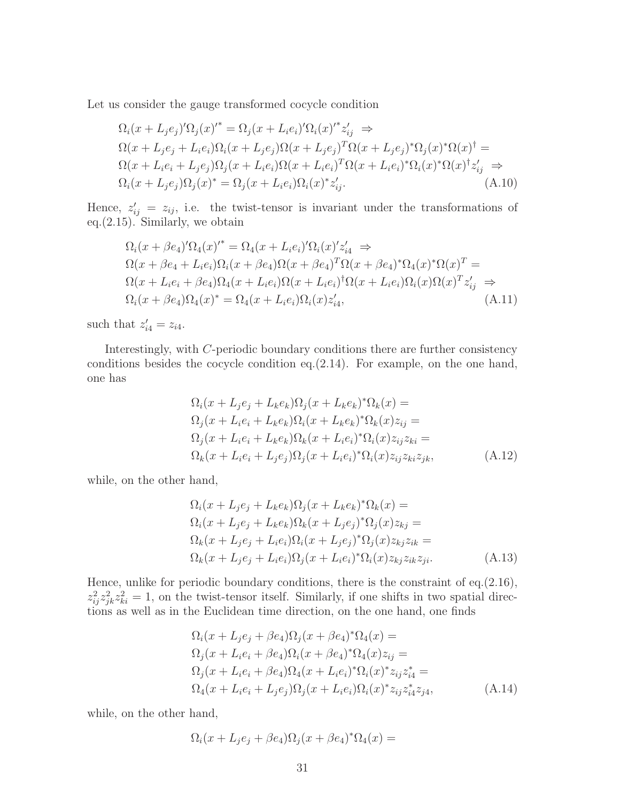Let us consider the gauge transformed cocycle condition

$$
\Omega_i(x + L_j e_j)' \Omega_j(x)'^* = \Omega_j(x + L_i e_i)' \Omega_i(x)'^* z'_{ij} \Rightarrow
$$
  
\n
$$
\Omega(x + L_j e_j + L_i e_i) \Omega_i(x + L_j e_j) \Omega(x + L_j e_j)^T \Omega(x + L_j e_j)^* \Omega_j(x)^* \Omega(x)^\dagger =
$$
  
\n
$$
\Omega(x + L_i e_i + L_j e_j) \Omega_j(x + L_i e_i) \Omega(x + L_i e_i)^T \Omega(x + L_i e_i)^* \Omega_i(x)^* \Omega(x)^\dagger z'_{ij} \Rightarrow
$$
  
\n
$$
\Omega_i(x + L_j e_j) \Omega_j(x)^* = \Omega_j(x + L_i e_i) \Omega_i(x)^* z'_{ij}.
$$
\n(A.10)

Hence,  $z'_{ij} = z_{ij}$ , i.e. the twist-tensor is invariant under the transformations of eq.(2.15). Similarly, we obtain

$$
\Omega_i(x + \beta e_4)' \Omega_4(x)'^* = \Omega_4(x + L_i e_i)' \Omega_i(x)' z'_{i4} \Rightarrow
$$
  
\n
$$
\Omega(x + \beta e_4 + L_i e_i) \Omega_i(x + \beta e_4) \Omega(x + \beta e_4)^T \Omega(x + \beta e_4)^* \Omega_4(x)^* \Omega(x)^T =
$$
  
\n
$$
\Omega(x + L_i e_i + \beta e_4) \Omega_4(x + L_i e_i) \Omega(x + L_i e_i)^{\dagger} \Omega(x + L_i e_i) \Omega_i(x) \Omega(x)^T z'_{i j} \Rightarrow
$$
  
\n
$$
\Omega_i(x + \beta e_4) \Omega_4(x)^* = \Omega_4(x + L_i e_i) \Omega_i(x) z'_{i 4},
$$
\n(A.11)

such that  $z'_{i4} = z_{i4}$ .

Interestingly, with C-periodic boundary conditions there are further consistency conditions besides the cocycle condition eq.(2.14). For example, on the one hand, one has

$$
\Omega_i(x + L_j e_j + L_k e_k) \Omega_j(x + L_k e_k)^* \Omega_k(x) =
$$
  
\n
$$
\Omega_j(x + L_i e_i + L_k e_k) \Omega_i(x + L_k e_k)^* \Omega_k(x) z_{ij} =
$$
  
\n
$$
\Omega_j(x + L_i e_i + L_k e_k) \Omega_k(x + L_i e_i)^* \Omega_i(x) z_{ij} z_{ki} =
$$
  
\n
$$
\Omega_k(x + L_i e_i + L_j e_j) \Omega_j(x + L_i e_i)^* \Omega_i(x) z_{ij} z_{ki} z_{jk},
$$
\n(A.12)

while, on the other hand,

$$
\Omega_i(x + L_j e_j + L_k e_k) \Omega_j(x + L_k e_k)^* \Omega_k(x) =
$$
  
\n
$$
\Omega_i(x + L_j e_j + L_k e_k) \Omega_k(x + L_j e_j)^* \Omega_j(x) z_{kj} =
$$
  
\n
$$
\Omega_k(x + L_j e_j + L_i e_i) \Omega_i(x + L_j e_j)^* \Omega_j(x) z_{kj} z_{ik} =
$$
  
\n
$$
\Omega_k(x + L_j e_j + L_i e_i) \Omega_j(x + L_i e_i)^* \Omega_i(x) z_{kj} z_{ik} z_{ji}.
$$
\n(A.13)

Hence, unlike for periodic boundary conditions, there is the constraint of eq.(2.16),  $z_{ij}^2 z_{jk}^2 z_{ki}^2 = 1$ , on the twist-tensor itself. Similarly, if one shifts in two spatial directions as well as in the Euclidean time direction, on the one hand, one finds

$$
\Omega_i(x + L_j e_j + \beta e_4) \Omega_j(x + \beta e_4)^* \Omega_4(x) =
$$
\n
$$
\Omega_j(x + L_i e_i + \beta e_4) \Omega_i(x + \beta e_4)^* \Omega_4(x) z_{ij} =
$$
\n
$$
\Omega_j(x + L_i e_i + \beta e_4) \Omega_4(x + L_i e_i)^* \Omega_i(x)^* z_{ij} z_{ii}^* =
$$
\n
$$
\Omega_4(x + L_i e_i + L_j e_j) \Omega_j(x + L_i e_i) \Omega_i(x)^* z_{ij} z_{ii}^* z_{ji},
$$
\n(A.14)

while, on the other hand,

$$
\Omega_i(x + L_j e_j + \beta e_4) \Omega_j(x + \beta e_4)^* \Omega_4(x) =
$$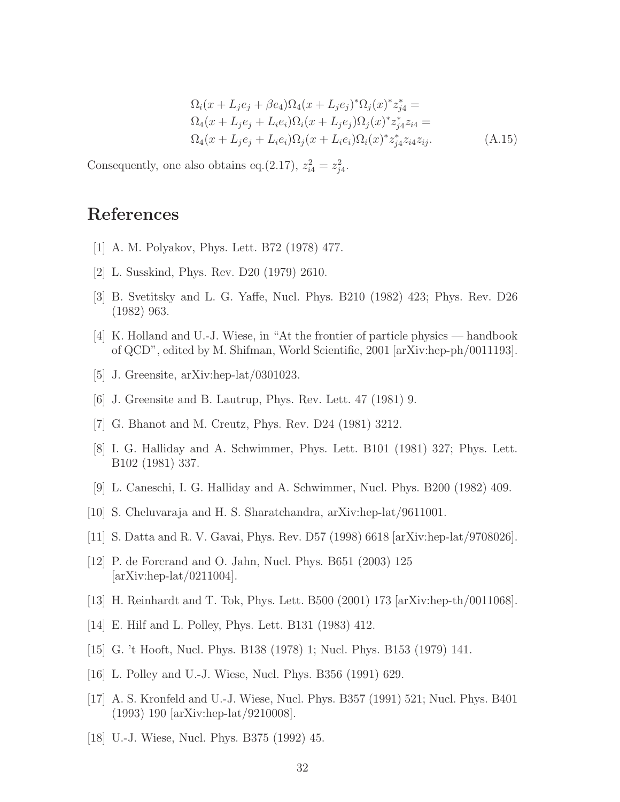$$
\Omega_i(x + L_j e_j + \beta e_4) \Omega_4(x + L_j e_j)^* \Omega_j(x)^* z_{j4}^* =
$$
\n
$$
\Omega_4(x + L_j e_j + L_i e_i) \Omega_i(x + L_j e_j) \Omega_j(x)^* z_{j4}^* z_{i4} =
$$
\n
$$
\Omega_4(x + L_j e_j + L_i e_i) \Omega_j(x + L_i e_i) \Omega_i(x)^* z_{j4}^* z_{i4} z_{ij}.
$$
\n(A.15)

Consequently, one also obtains eq.(2.17),  $z_{i4}^2 = z_{j4}^2$ .

## References

- [1] A. M. Polyakov, Phys. Lett. B72 (1978) 477.
- [2] L. Susskind, Phys. Rev. D20 (1979) 2610.
- [3] B. Svetitsky and L. G. Yaffe, Nucl. Phys. B210 (1982) 423; Phys. Rev. D26 (1982) 963.
- [4] K. Holland and U.-J. Wiese, in "At the frontier of particle physics handbook of QCD", edited by M. Shifman, World Scientific, 2001 [arXiv:hep-ph/0011193].
- [5] J. Greensite, arXiv:hep-lat/0301023.
- [6] J. Greensite and B. Lautrup, Phys. Rev. Lett. 47 (1981) 9.
- [7] G. Bhanot and M. Creutz, Phys. Rev. D24 (1981) 3212.
- [8] I. G. Halliday and A. Schwimmer, Phys. Lett. B101 (1981) 327; Phys. Lett. B102 (1981) 337.
- [9] L. Caneschi, I. G. Halliday and A. Schwimmer, Nucl. Phys. B200 (1982) 409.
- [10] S. Cheluvaraja and H. S. Sharatchandra, arXiv:hep-lat/9611001.
- [11] S. Datta and R. V. Gavai, Phys. Rev. D57 (1998) 6618 [arXiv:hep-lat/9708026].
- [12] P. de Forcrand and O. Jahn, Nucl. Phys. B651 (2003) 125 [arXiv:hep-lat/0211004].
- [13] H. Reinhardt and T. Tok, Phys. Lett. B500 (2001) 173 [arXiv:hep-th/0011068].
- [14] E. Hilf and L. Polley, Phys. Lett. B131 (1983) 412.
- [15] G. 't Hooft, Nucl. Phys. B138 (1978) 1; Nucl. Phys. B153 (1979) 141.
- [16] L. Polley and U.-J. Wiese, Nucl. Phys. B356 (1991) 629.
- [17] A. S. Kronfeld and U.-J. Wiese, Nucl. Phys. B357 (1991) 521; Nucl. Phys. B401 (1993) 190 [arXiv:hep-lat/9210008].
- [18] U.-J. Wiese, Nucl. Phys. B375 (1992) 45.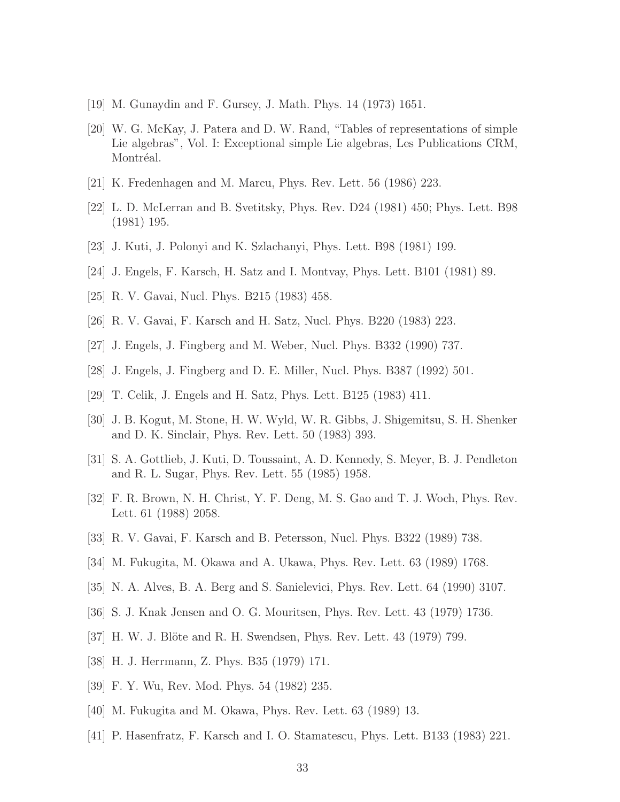- [19] M. Gunaydin and F. Gursey, J. Math. Phys. 14 (1973) 1651.
- [20] W. G. McKay, J. Patera and D. W. Rand, "Tables of representations of simple Lie algebras", Vol. I: Exceptional simple Lie algebras, Les Publications CRM, Montréal.
- [21] K. Fredenhagen and M. Marcu, Phys. Rev. Lett. 56 (1986) 223.
- [22] L. D. McLerran and B. Svetitsky, Phys. Rev. D24 (1981) 450; Phys. Lett. B98 (1981) 195.
- [23] J. Kuti, J. Polonyi and K. Szlachanyi, Phys. Lett. B98 (1981) 199.
- [24] J. Engels, F. Karsch, H. Satz and I. Montvay, Phys. Lett. B101 (1981) 89.
- [25] R. V. Gavai, Nucl. Phys. B215 (1983) 458.
- [26] R. V. Gavai, F. Karsch and H. Satz, Nucl. Phys. B220 (1983) 223.
- [27] J. Engels, J. Fingberg and M. Weber, Nucl. Phys. B332 (1990) 737.
- [28] J. Engels, J. Fingberg and D. E. Miller, Nucl. Phys. B387 (1992) 501.
- [29] T. Celik, J. Engels and H. Satz, Phys. Lett. B125 (1983) 411.
- [30] J. B. Kogut, M. Stone, H. W. Wyld, W. R. Gibbs, J. Shigemitsu, S. H. Shenker and D. K. Sinclair, Phys. Rev. Lett. 50 (1983) 393.
- [31] S. A. Gottlieb, J. Kuti, D. Toussaint, A. D. Kennedy, S. Meyer, B. J. Pendleton and R. L. Sugar, Phys. Rev. Lett. 55 (1985) 1958.
- [32] F. R. Brown, N. H. Christ, Y. F. Deng, M. S. Gao and T. J. Woch, Phys. Rev. Lett. 61 (1988) 2058.
- [33] R. V. Gavai, F. Karsch and B. Petersson, Nucl. Phys. B322 (1989) 738.
- [34] M. Fukugita, M. Okawa and A. Ukawa, Phys. Rev. Lett. 63 (1989) 1768.
- [35] N. A. Alves, B. A. Berg and S. Sanielevici, Phys. Rev. Lett. 64 (1990) 3107.
- [36] S. J. Knak Jensen and O. G. Mouritsen, Phys. Rev. Lett. 43 (1979) 1736.
- [37] H. W. J. Blöte and R. H. Swendsen, Phys. Rev. Lett. 43 (1979) 799.
- [38] H. J. Herrmann, Z. Phys. B35 (1979) 171.
- [39] F. Y. Wu, Rev. Mod. Phys. 54 (1982) 235.
- [40] M. Fukugita and M. Okawa, Phys. Rev. Lett. 63 (1989) 13.
- [41] P. Hasenfratz, F. Karsch and I. O. Stamatescu, Phys. Lett. B133 (1983) 221.